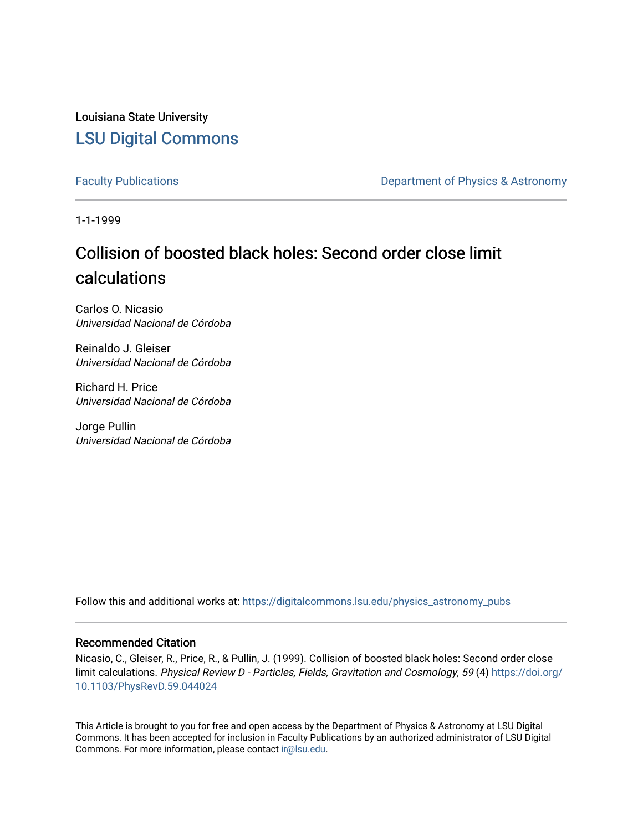Louisiana State University [LSU Digital Commons](https://digitalcommons.lsu.edu/)

[Faculty Publications](https://digitalcommons.lsu.edu/physics_astronomy_pubs) **Exercise 2 and Table 2 and Table 2 and Table 2 and Table 2 and Table 2 and Table 2 and Table 2 and Table 2 and Table 2 and Table 2 and Table 2 and Table 2 and Table 2 and Table 2 and Table 2 and Table** 

1-1-1999

# Collision of boosted black holes: Second order close limit calculations

Carlos O. Nicasio Universidad Nacional de Córdoba

Reinaldo J. Gleiser Universidad Nacional de Córdoba

Richard H. Price Universidad Nacional de Córdoba

Jorge Pullin Universidad Nacional de Córdoba

Follow this and additional works at: [https://digitalcommons.lsu.edu/physics\\_astronomy\\_pubs](https://digitalcommons.lsu.edu/physics_astronomy_pubs?utm_source=digitalcommons.lsu.edu%2Fphysics_astronomy_pubs%2F4418&utm_medium=PDF&utm_campaign=PDFCoverPages) 

## Recommended Citation

Nicasio, C., Gleiser, R., Price, R., & Pullin, J. (1999). Collision of boosted black holes: Second order close limit calculations. Physical Review D - Particles, Fields, Gravitation and Cosmology, 59 (4) [https://doi.org/](https://doi.org/10.1103/PhysRevD.59.044024) [10.1103/PhysRevD.59.044024](https://doi.org/10.1103/PhysRevD.59.044024) 

This Article is brought to you for free and open access by the Department of Physics & Astronomy at LSU Digital Commons. It has been accepted for inclusion in Faculty Publications by an authorized administrator of LSU Digital Commons. For more information, please contact [ir@lsu.edu](mailto:ir@lsu.edu).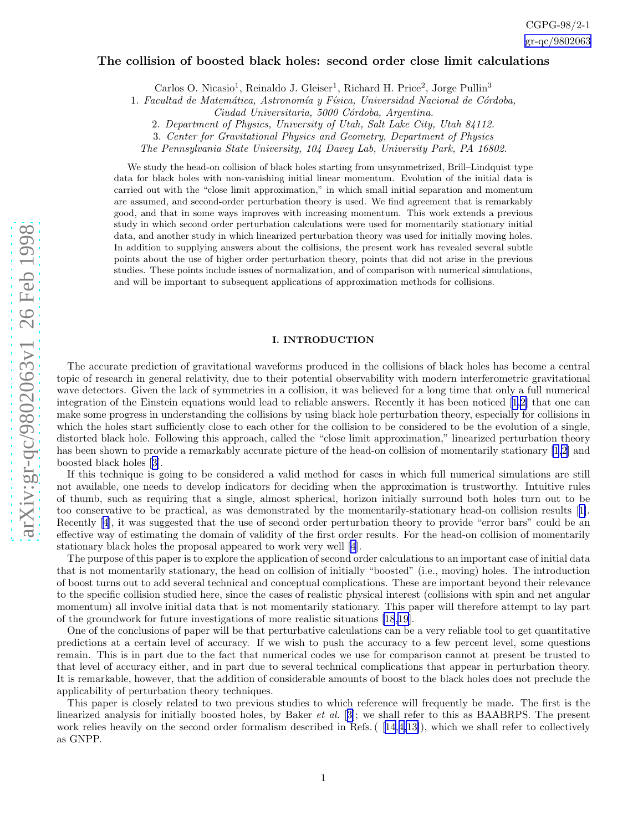## The collision of boosted black holes: second order close limit calculations

Carlos O. Nicasio<sup>1</sup>, Reinaldo J. Gleiser<sup>1</sup>, Richard H. Price<sup>2</sup>, Jorge Pullin<sup>3</sup>

1. Facultad de Matemática, Astronomía y Física, Universidad Nacional de Córdoba,

2. Department of Physics, University of Utah, Salt Lake City, Utah 84112.

3. Center for Gravitational Physics and Geometry, Department of Physics

The Pennsylvania State University, 104 Davey Lab, University Park, PA 16802.

We study the head-on collision of black holes starting from unsymmetrized, Brill–Lindquist type data for black holes with non-vanishing initial linear momentum. Evolution of the initial data is carried out with the "close limit approximation," in which small initial separation and momentum are assumed, and second-order perturbation theory is used. We find agreement that is remarkably good, and that in some ways improves with increasing momentum. This work extends a previous study in which second order perturbation calculations were used for momentarily stationary initial data, and another study in which linearized perturbation theory was used for initially moving holes. In addition to supplying answers about the collisions, the present work has revealed several subtle points about the use of higher order perturbation theory, points that did not arise in the previous studies. These points include issues of normalization, and of comparison with numerical simulations, and will be important to subsequent applications of approximation methods for collisions.

## I. INTRODUCTION

The accurate prediction of gravitational waveforms produced in the collisions of black holes has become a central topic of research in general relativity, due to their potential observability with modern interferometric gravitational wave detectors. Given the lack of symmetries in a collision, it was believed for a long time that only a full numerical integration of the Einstein equations would lead to reliable answers. Recently it has been noticed[[1,2\]](#page-19-0) that one can make some progress in understanding the collisions by using black hole perturbation theory, especially for collisions in which the holes start sufficiently close to each other for the collision to be considered to be the evolution of a single, distorted black hole. Following this approach, called the "close limit approximation," linearized perturbation theory has been shown to provide a remarkably accurate picture of the head-on collision of momentarily stationary [\[1,2](#page-19-0)] and boosted black holes[[3\]](#page-20-0).

If this technique is going to be considered a valid method for cases in which full numerical simulations are still not available, one needs to develop indicators for deciding when the approximation is trustworthy. Intuitive rules of thumb, such as requiring that a single, almost spherical, horizon initially surround both holes turn out to be too conservative to be practical, as was demonstrated by the momentarily-stationary head-on collision results[[1\]](#page-19-0). Recently [\[4](#page-20-0)], it was suggested that the use of second order perturbation theory to provide "error bars" could be an effective way of estimating the domain of validity of the first order results. For the head-on collision of momentarily stationary black holes the proposal appeared to work very well [\[4](#page-20-0)].

The purpose of this paper is to explore the application of second order calculations to an important case of initial data that is not momentarily stationary, the head on collision of initially "boosted" (i.e., moving) holes. The introduction of boost turns out to add several technical and conceptual complications. These are important beyond their relevance to the specific collision studied here, since the cases of realistic physical interest (collisions with spin and net angular momentum) all involve initial data that is not momentarily stationary. This paper will therefore attempt to lay part of the groundwork for future investigations of more realistic situations [\[18,19](#page-20-0)].

One of the conclusions of paper will be that perturbative calculations can be a very reliable tool to get quantitative predictions at a certain level of accuracy. If we wish to push the accuracy to a few percent level, some questions remain. This is in part due to the fact that numerical codes we use for comparison cannot at present be trusted to that level of accuracy either, and in part due to several technical complications that appear in perturbation theory. It is remarkable, however, that the addition of considerable amounts of boost to the black holes does not preclude the applicability of perturbation theory techniques.

This paper is closely related to two previous studies to which reference will frequently be made. The first is the linearized analysis for initially boosted holes, by Baker et al. [[3\]](#page-20-0); we shall refer to this as BAABRPS. The present work relies heavily on the second order formalism described in Refs. ([[14,4,13\]](#page-20-0)), which we shall refer to collectively as GNPP.

Ciudad Universitaria, 5000 Córdoba, Argentina.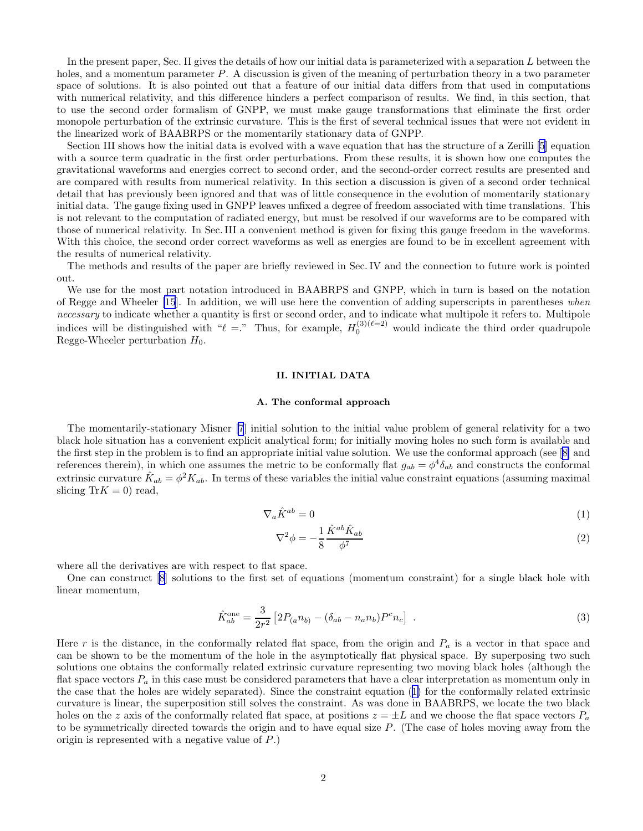<span id="page-2-0"></span>In the present paper, Sec. II gives the details of how our initial data is parameterized with a separation L between the holes, and a momentum parameter P. A discussion is given of the meaning of perturbation theory in a two parameter space of solutions. It is also pointed out that a feature of our initial data differs from that used in computations with numerical relativity, and this difference hinders a perfect comparison of results. We find, in this section, that to use the second order formalism of GNPP, we must make gauge transformations that eliminate the first order monopole perturbation of the extrinsic curvature. This is the first of several technical issues that were not evident in the linearized work of BAABRPS or the momentarily stationary data of GNPP.

Section III shows how the initial data is evolved with a wave equation that has the structure of a Zerilli [\[5](#page-20-0)] equation with a source term quadratic in the first order perturbations. From these results, it is shown how one computes the gravitational waveforms and energies correct to second order, and the second-order correct results are presented and are compared with results from numerical relativity. In this section a discussion is given of a second order technical detail that has previously been ignored and that was of little consequence in the evolution of momentarily stationary initial data. The gauge fixing used in GNPP leaves unfixed a degree of freedom associated with time translations. This is not relevant to the computation of radiated energy, but must be resolved if our waveforms are to be compared with those of numerical relativity. In Sec. III a convenient method is given for fixing this gauge freedom in the waveforms. With this choice, the second order correct waveforms as well as energies are found to be in excellent agreement with the results of numerical relativity.

The methods and results of the paper are briefly reviewed in Sec. IV and the connection to future work is pointed out.

We use for the most part notation introduced in BAABRPS and GNPP, which in turn is based on the notation of Regge and Wheeler [\[15](#page-20-0)]. In addition, we will use here the convention of adding superscripts in parentheses when necessary to indicate whether a quantity is first or second order, and to indicate what multipole it refers to. Multipole indices will be distinguished with " $\ell =$ ." Thus, for example,  $H_0^{(3)(\ell=2)}$  would indicate the third order quadrupole Regge-Wheeler perturbation  $H_0$ .

## II. INITIAL DATA

## A. The conformal approach

The momentarily-stationary Misner [\[7](#page-20-0)] initial solution to the initial value problem of general relativity for a two black hole situation has a convenient explicit analytical form; for initially moving holes no such form is available and the first step in the problem is to find an appropriate initial value solution. We use the conformal approach (see[[8\]](#page-20-0) and references therein), in which one assumes the metric to be conformally flat  $g_{ab} = \phi^4 \delta_{ab}$  and constructs the conformal extrinsic curvature  $\hat{K}_{ab} = \phi^2 K_{ab}$ . In terms of these variables the initial value constraint equations (assuming maximal slicing  $\text{Tr}K = 0$ ) read,

$$
\nabla_a \hat{K}^{ab} = 0 \tag{1}
$$

$$
\nabla^2 \phi = -\frac{1}{8} \frac{\hat{K}^{ab} \hat{K}_{ab}}{\phi^7} \tag{2}
$$

where all the derivatives are with respect to flat space.

One can construct [\[8](#page-20-0)] solutions to the first set of equations (momentum constraint) for a single black hole with linear momentum,

$$
\hat{K}_{ab}^{\text{one}} = \frac{3}{2r^2} \left[ 2P_{(a}n_{b)} - (\delta_{ab} - n_a n_b)P^c n_c \right] \ . \tag{3}
$$

Here r is the distance, in the conformally related flat space, from the origin and  $P_a$  is a vector in that space and can be shown to be the momentum of the hole in the asymptotically flat physical space. By superposing two such solutions one obtains the conformally related extrinsic curvature representing two moving black holes (although the flat space vectors  $P_a$  in this case must be considered parameters that have a clear interpretation as momentum only in the case that the holes are widely separated). Since the constraint equation (1) for the conformally related extrinsic curvature is linear, the superposition still solves the constraint. As was done in BAABRPS, we locate the two black holes on the z axis of the conformally related flat space, at positions  $z = \pm L$  and we choose the flat space vectors  $P_a$ to be symmetrically directed towards the origin and to have equal size  $P$ . (The case of holes moving away from the origin is represented with a negative value of P.)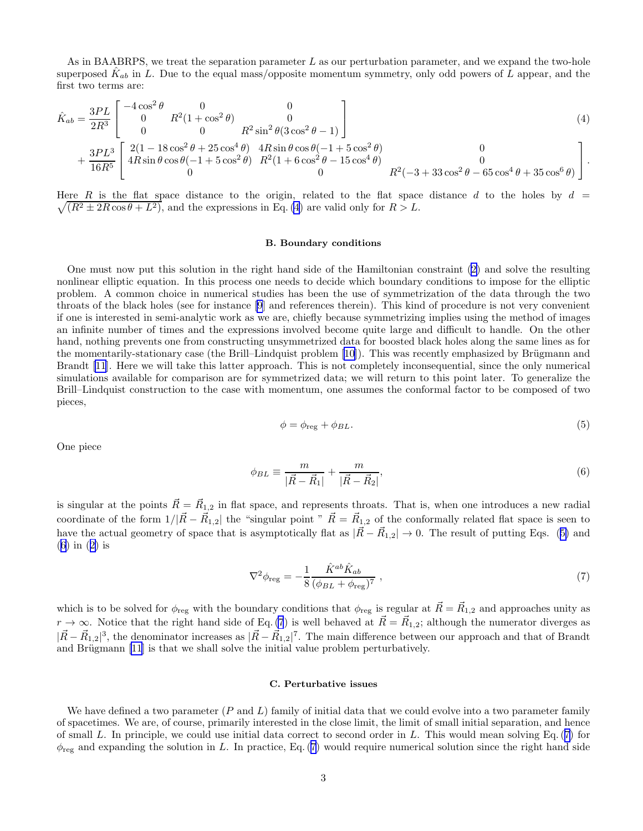<span id="page-3-0"></span>As in BAABRPS, we treat the separation parameter  $L$  as our perturbation parameter, and we expand the two-hole superposed  $\hat{K}_{ab}$  in L. Due to the equal mass/opposite momentum symmetry, only odd powers of L appear, and the first two terms are:

$$
\hat{K}_{ab} = \frac{3PL}{2R^3} \begin{bmatrix}\n-4\cos^2\theta & 0 & 0 \\
0 & R^2(1+\cos^2\theta) & 0 \\
0 & 0 & R^2\sin^2\theta(3\cos^2\theta - 1)\n\end{bmatrix}
$$
\n
$$
+ \frac{3PL^3}{16R^5} \begin{bmatrix}\n2(1 - 18\cos^2\theta + 25\cos^4\theta) & 4R\sin\theta\cos\theta(-1 + 5\cos^2\theta) & 0 \\
4R\sin\theta\cos\theta(-1 + 5\cos^2\theta) & R^2(1 + 6\cos^2\theta - 15\cos^4\theta) & 0 \\
0 & 0 & R^2(-3 + 33\cos^2\theta - 65\cos^4\theta + 35\cos^6\theta)\n\end{bmatrix}.
$$
\n(4)

 $\sqrt{(R^2 \pm 2R\cos\theta + L^2)}$ , and the expressions in Eq. (4) are valid only for  $R > L$ . Here R is the flat space distance to the origin, related to the flat space distance d to the holes by  $d =$ 

#### B. Boundary conditions

One must now put this solution in the right hand side of the Hamiltonian constraint([2\)](#page-2-0) and solve the resulting nonlinear elliptic equation. In this process one needs to decide which boundary conditions to impose for the elliptic problem. A common choice in numerical studies has been the use of symmetrization of the data through the two throats of the black holes (see for instance [\[9](#page-20-0)] and references therein). This kind of procedure is not very convenient if one is interested in semi-analytic work as we are, chiefly because symmetrizing implies using the method of images an infinite number of times and the expressions involved become quite large and difficult to handle. On the other hand, nothing prevents one from constructing unsymmetrized data for boosted black holes along the same lines as for themomentarily-stationary case (the Brill–Lindquist problem [[10](#page-20-0)]). This was recently emphasized by Brügmann and Brandt[[11](#page-20-0)]. Here we will take this latter approach. This is not completely inconsequential, since the only numerical simulations available for comparison are for symmetrized data; we will return to this point later. To generalize the Brill–Lindquist construction to the case with momentum, one assumes the conformal factor to be composed of two pieces,

$$
\phi = \phi_{\text{reg}} + \phi_{BL}.\tag{5}
$$

One piece

$$
\phi_{BL} \equiv \frac{m}{|\vec{R} - \vec{R}_1|} + \frac{m}{|\vec{R} - \vec{R}_2|},\tag{6}
$$

is singular at the points  $\vec{R} = \vec{R}_{1,2}$  in flat space, and represents throats. That is, when one introduces a new radial coordinate of the form  $1/|\vec{R}-\vec{R}_{1,2}|$  the "singular point "  $\vec{R}=\vec{R}_{1,2}$  of the conformally related flat space is seen to have the actual geometry of space that is asymptotically flat as  $|\vec{R}-\vec{R}_{1,2}| \to 0$ . The result of putting Eqs. (5) and (6) in([2\)](#page-2-0) is

$$
\nabla^2 \phi_{\text{reg}} = -\frac{1}{8} \frac{\hat{K}^{ab} \hat{K}_{ab}}{(\phi_{BL} + \phi_{\text{reg}})^7} , \qquad (7)
$$

which is to be solved for  $\phi_{reg}$  with the boundary conditions that  $\phi_{reg}$  is regular at  $\vec{R} = \vec{R}_{1,2}$  and approaches unity as  $r \rightarrow \infty$ . Notice that the right hand side of Eq. (7) is well behaved at  $\vec{R} = \vec{R}_{1,2}$ ; although the numerator diverges as  $|\vec{R} - \vec{R}_{1,2}|^3$ , the denominator increases as  $|\vec{R} - \vec{R}_{1,2}|^7$ . The main difference between our approach and that of Brandt and Brügmann [\[11](#page-20-0)] is that we shall solve the initial value problem perturbatively.

#### C. Perturbative issues

We have defined a two parameter  $(P \text{ and } L)$  family of initial data that we could evolve into a two parameter family of spacetimes. We are, of course, primarily interested in the close limit, the limit of small initial separation, and hence of small L. In principle, we could use initial data correct to second order in L. This would mean solving Eq.  $(7)$  for  $\phi_{\text{reg}}$  and expanding the solution in L. In practice, Eq. (7) would require numerical solution since the right hand side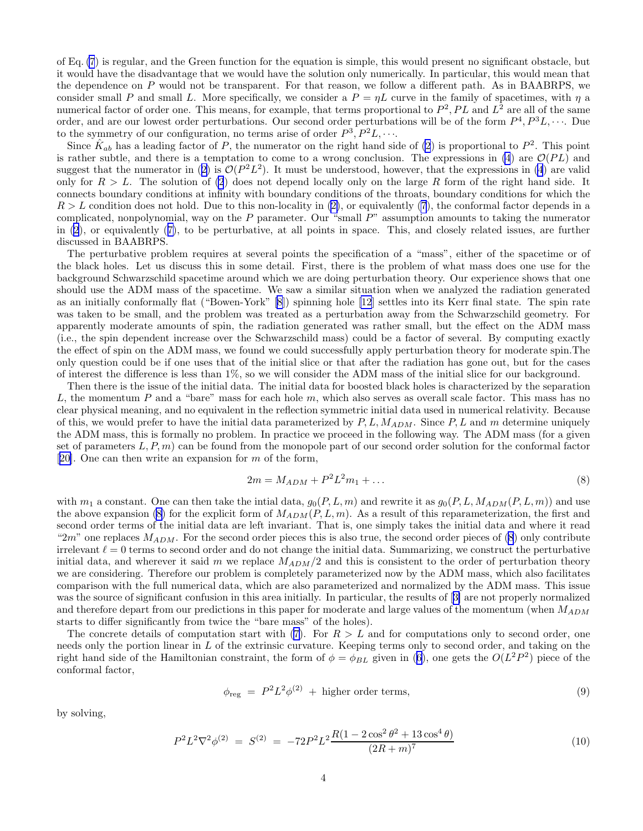of Eq. [\(7](#page-3-0)) is regular, and the Green function for the equation is simple, this would present no significant obstacle, but it would have the disadvantage that we would have the solution only numerically. In particular, this would mean that the dependence on P would not be transparent. For that reason, we follow a different path. As in BAABRPS, we consider small P and small L. More specifically, we consider a  $P = \eta L$  curve in the family of spacetimes, with  $\eta$  a numerical factor of order one. This means, for example, that terms proportional to  $P^2, PL$  and  $L^2$  are all of the same order, and are our lowest order perturbations. Our second order perturbations will be of the form  $P^4, P^3L, \cdots$ . Due to the symmetry of our configuration, no terms arise of order  $P^3, P^2L, \cdots$ 

Since  $\hat{K}_{ab}$  has a leading factor of P, the numerator on the right hand side of [\(2](#page-2-0)) is proportional to  $P^2$ . This point is rather subtle, and there is a temptation to come to a wrong conclusion. The expressions in [\(4](#page-3-0)) are  $\mathcal{O}(PL)$  and suggestthat the numerator in ([2\)](#page-2-0) is  $\mathcal{O}(P^2L^2)$ . It must be understood, however, that the expressions in [\(4](#page-3-0)) are valid only for  $R > L$ . The solution of [\(2](#page-2-0)) does not depend locally only on the large R form of the right hand side. It connects boundary conditions at infinity with boundary conditions of the throats, boundary conditions for which the  $R > L$  condition does not hold. Due to this non-locality in [\(2\)](#page-2-0), or equivalently [\(7](#page-3-0)), the conformal factor depends in a complicated, nonpolynomial, way on the  $P$  parameter. Our "small  $P$ " assumption amounts to taking the numerator in [\(2](#page-2-0)), or equivalently([7\)](#page-3-0), to be perturbative, at all points in space. This, and closely related issues, are further discussed in BAABRPS.

The perturbative problem requires at several points the specification of a "mass", either of the spacetime or of the black holes. Let us discuss this in some detail. First, there is the problem of what mass does one use for the background Schwarzschild spacetime around which we are doing perturbation theory. Our experience shows that one should use the ADM mass of the spacetime. We saw a similar situation when we analyzed the radiation generated as an initially conformally flat ("Bowen-York" [\[8](#page-20-0)]) spinning hole [\[12](#page-20-0)] settles into its Kerr final state. The spin rate was taken to be small, and the problem was treated as a perturbation away from the Schwarzschild geometry. For apparently moderate amounts of spin, the radiation generated was rather small, but the effect on the ADM mass (i.e., the spin dependent increase over the Schwarzschild mass) could be a factor of several. By computing exactly the effect of spin on the ADM mass, we found we could successfully apply perturbation theory for moderate spin.The only question could be if one uses that of the initial slice or that after the radiation has gone out, but for the cases of interest the difference is less than 1%, so we will consider the ADM mass of the initial slice for our background.

Then there is the issue of the initial data. The initial data for boosted black holes is characterized by the separation L, the momentum P and a "bare" mass for each hole m, which also serves as overall scale factor. This mass has no clear physical meaning, and no equivalent in the reflection symmetric initial data used in numerical relativity. Because of this, we would prefer to have the initial data parameterized by  $P, L, M_{ADM}$ . Since  $P, L$  and m determine uniquely the ADM mass, this is formally no problem. In practice we proceed in the following way. The ADM mass (for a given set of parameters  $L, P, m$  can be found from the monopole part of our second order solution for the conformal factor [[20\]](#page-20-0). One can then write an expansion for  $m$  of the form,

$$
2m = M_{ADM} + P^2 L^2 m_1 + \dots \tag{8}
$$

with  $m_1$  a constant. One can then take the intial data,  $g_0(P, L, m)$  and rewrite it as  $g_0(P, L, M_{ADM}(P, L, m))$  and use the above expansion (8) for the explicit form of  $M_{ADM}(P, L, m)$ . As a result of this reparameterization, the first and second order terms of the initial data are left invariant. That is, one simply takes the initial data and where it read "2m" one replaces  $M_{ADM}$ . For the second order pieces this is also true, the second order pieces of (8) only contribute irrelevant  $\ell = 0$  terms to second order and do not change the initial data. Summarizing, we construct the perturbative initial data, and wherever it said m we replace  $M_{ADM}/2$  and this is consistent to the order of perturbation theory we are considering. Therefore our problem is completely parameterized now by the ADM mass, which also facilitates comparison with the full numerical data, which are also parameterized and normalized by the ADM mass. This issue was the source of significant confusion in this area initially. In particular, the results of[[3\]](#page-20-0) are not properly normalized and therefore depart from our predictions in this paper for moderate and large values of the momentum (when  $M_{ADM}$ ) starts to differ significantly from twice the "bare mass" of the holes).

Theconcrete details of computation start with ([7](#page-3-0)). For  $R > L$  and for computations only to second order, one needs only the portion linear in L of the extrinsic curvature. Keeping terms only to second order, and taking on the righthand side of the Hamiltonian constraint, the form of  $\phi = \phi_{BL}$  given in ([6\)](#page-3-0), one gets the  $O(L^2P^2)$  piece of the conformal factor,

$$
\phi_{\text{reg}} = P^2 L^2 \phi^{(2)} + \text{higher order terms},\tag{9}
$$

by solving,

$$
P^2 L^2 \nabla^2 \phi^{(2)} = S^{(2)} = -72P^2 L^2 \frac{R(1 - 2\cos^2 \theta^2 + 13\cos^4 \theta)}{(2R + m)^7}
$$
(10)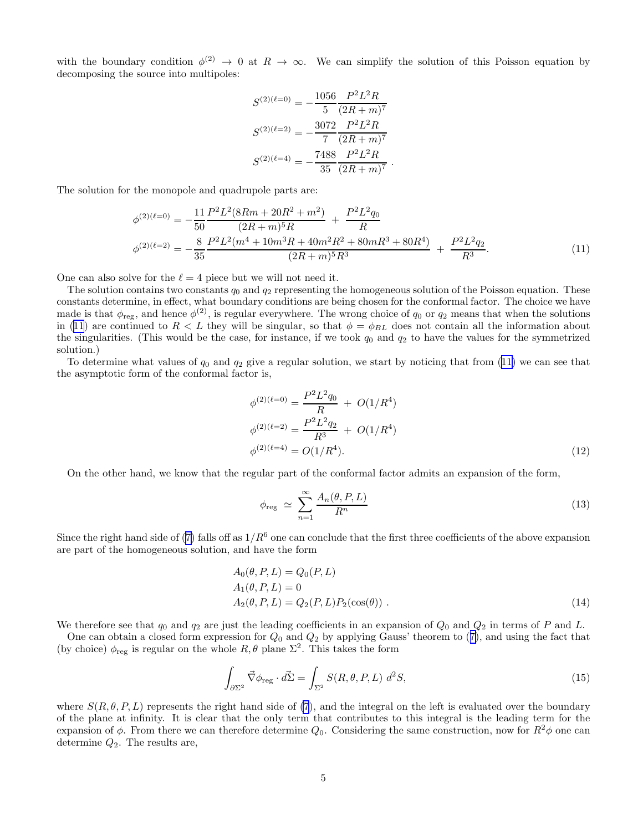with the boundary condition  $\phi^{(2)} \to 0$  at  $R \to \infty$ . We can simplify the solution of this Poisson equation by decomposing the source into multipoles:

$$
S^{(2)(\ell=0)} = -\frac{1056}{5} \frac{P^2 L^2 R}{(2R+m)^7}
$$

$$
S^{(2)(\ell=2)} = -\frac{3072}{7} \frac{P^2 L^2 R}{(2R+m)^7}
$$

$$
S^{(2)(\ell=4)} = -\frac{7488}{35} \frac{P^2 L^2 R}{(2R+m)^7}
$$

The solution for the monopole and quadrupole parts are:

$$
\phi^{(2)(\ell=0)} = -\frac{11}{50} \frac{P^2 L^2 (8Rm + 20R^2 + m^2)}{(2R + m)^5 R} + \frac{P^2 L^2 q_0}{R}
$$
  

$$
\phi^{(2)(\ell=2)} = -\frac{8}{35} \frac{P^2 L^2 (m^4 + 10m^3 R + 40m^2 R^2 + 80mR^3 + 80R^4)}{(2R + m)^5 R^3} + \frac{P^2 L^2 q_2}{R^3}.
$$
 (11)

.

One can also solve for the  $\ell = 4$  piece but we will not need it.

The solution contains two constants  $q_0$  and  $q_2$  representing the homogeneous solution of the Poisson equation. These constants determine, in effect, what boundary conditions are being chosen for the conformal factor. The choice we have made is that  $\phi_{reg}$ , and hence  $\phi^{(2)}$ , is regular everywhere. The wrong choice of  $q_0$  or  $q_2$  means that when the solutions in (11) are continued to  $R < L$  they will be singular, so that  $\phi = \phi_{BL}$  does not contain all the information about the singularities. (This would be the case, for instance, if we took  $q_0$  and  $q_2$  to have the values for the symmetrized solution.)

To determine what values of  $q_0$  and  $q_2$  give a regular solution, we start by noticing that from (11) we can see that the asymptotic form of the conformal factor is,

$$
\phi^{(2)(\ell=0)} = \frac{P^2 L^2 q_0}{R} + O(1/R^4)
$$
  
\n
$$
\phi^{(2)(\ell=2)} = \frac{P^2 L^2 q_2}{R^3} + O(1/R^4)
$$
  
\n
$$
\phi^{(2)(\ell=4)} = O(1/R^4).
$$
\n(12)

On the other hand, we know that the regular part of the conformal factor admits an expansion of the form,

$$
\phi_{\text{reg}} \simeq \sum_{n=1}^{\infty} \frac{A_n(\theta, P, L)}{R^n} \tag{13}
$$

Sincethe right hand side of ([7\)](#page-3-0) falls off as  $1/R<sup>6</sup>$  one can conclude that the first three coefficients of the above expansion are part of the homogeneous solution, and have the form

$$
A_0(\theta, P, L) = Q_0(P, L)
$$
  
\n
$$
A_1(\theta, P, L) = 0
$$
  
\n
$$
A_2(\theta, P, L) = Q_2(P, L)P_2(\cos(\theta)).
$$
\n(14)

We therefore see that  $q_0$  and  $q_2$  are just the leading coefficients in an expansion of  $Q_0$  and  $Q_2$  in terms of P and L.

Onecan obtain a closed form expression for  $Q_0$  and  $Q_2$  by applying Gauss' theorem to ([7\)](#page-3-0), and using the fact that (by choice)  $\phi_{reg}$  is regular on the whole  $R, \theta$  plane  $\Sigma^2$ . This takes the form

$$
\int_{\partial \Sigma^2} \vec{\nabla} \phi_{\text{reg}} \cdot d\vec{\Sigma} = \int_{\Sigma^2} S(R, \theta, P, L) d^2 S,\tag{15}
$$

where  $S(R, \theta, P, L)$  represents the right hand side of [\(7](#page-3-0)), and the integral on the left is evaluated over the boundary of the plane at infinity. It is clear that the only term that contributes to this integral is the leading term for the expansion of  $\phi$ . From there we can therefore determine  $Q_0$ . Considering the same construction, now for  $R^2\phi$  one can determine  $Q_2$ . The results are,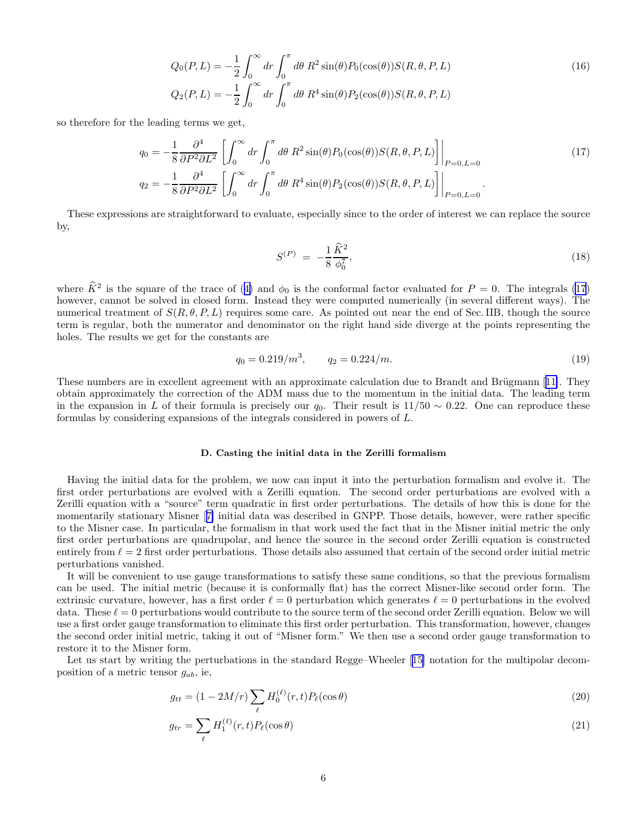$$
Q_0(P, L) = -\frac{1}{2} \int_0^\infty dr \int_0^\pi d\theta \, R^2 \sin(\theta) P_0(\cos(\theta)) S(R, \theta, P, L)
$$
  
\n
$$
Q_2(P, L) = -\frac{1}{2} \int_0^\infty dr \int_0^\pi d\theta \, R^4 \sin(\theta) P_2(\cos(\theta)) S(R, \theta, P, L)
$$
\n(16)

<span id="page-6-0"></span>so therefore for the leading terms we get,

$$
q_0 = -\frac{1}{8} \frac{\partial^4}{\partial P^2 \partial L^2} \left[ \int_0^\infty dr \int_0^\pi d\theta \, R^2 \sin(\theta) P_0(\cos(\theta)) S(R, \theta, P, L) \right] \Big|_{P=0, L=0}
$$
\n
$$
q_2 = -\frac{1}{8} \frac{\partial^4}{\partial P^2 \partial L^2} \left[ \int_0^\infty dr \int_0^\pi d\theta \, R^4 \sin(\theta) P_2(\cos(\theta)) S(R, \theta, P, L) \right] \Big|_{P=0, L=0}.
$$
\n(17)

These expressions are straightforward to evaluate, especially since to the order of interest we can replace the source by,

$$
S^{(P)} = -\frac{1}{8} \frac{\widehat{K}^2}{\phi_0^7},\tag{18}
$$

where $\hat{K}^2$  is the square of the trace of ([4\)](#page-3-0) and  $\phi_0$  is the conformal factor evaluated for  $P = 0$ . The integrals (17) however, cannot be solved in closed form. Instead they were computed numerically (in several different ways). The numerical treatment of  $S(R, \theta, P, L)$  requires some care. As pointed out near the end of Sec. IIB, though the source term is regular, both the numerator and denominator on the right hand side diverge at the points representing the holes. The results we get for the constants are

$$
q_0 = 0.219/m^3, \qquad q_2 = 0.224/m. \tag{19}
$$

Thesenumbers are in excellent agreement with an approximate calculation due to Brandt and Brügmann [[11\]](#page-20-0). They obtain approximately the correction of the ADM mass due to the momentum in the initial data. The leading term in the expansion in L of their formula is precisely our  $q_0$ . Their result is 11/50 ~ 0.22. One can reproduce these formulas by considering expansions of the integrals considered in powers of L.

#### D. Casting the initial data in the Zerilli formalism

Having the initial data for the problem, we now can input it into the perturbation formalism and evolve it. The first order perturbations are evolved with a Zerilli equation. The second order perturbations are evolved with a Zerilli equation with a "source" term quadratic in first order perturbations. The details of how this is done for the momentarily stationary Misner[[7\]](#page-20-0) initial data was described in GNPP. Those details, however, were rather specific to the Misner case. In particular, the formalism in that work used the fact that in the Misner initial metric the only first order perturbations are quadrupolar, and hence the source in the second order Zerilli equation is constructed entirely from  $\ell = 2$  first order perturbations. Those details also assumed that certain of the second order initial metric perturbations vanished.

It will be convenient to use gauge transformations to satisfy these same conditions, so that the previous formalism can be used. The initial metric (because it is conformally flat) has the correct Misner-like second order form. The extrinsic curvature, however, has a first order  $\ell = 0$  perturbation which generates  $\ell = 0$  perturbations in the evolved data. These  $\ell = 0$  perturbations would contribute to the source term of the second order Zerilli equation. Below we will use a first order gauge transformation to eliminate this first order perturbation. This transformation, however, changes the second order initial metric, taking it out of "Misner form." We then use a second order gauge transformation to restore it to the Misner form.

Let us start by writing the perturbations in the standard Regge–Wheeler[[15\]](#page-20-0) notation for the multipolar decomposition of a metric tensor  $g_{ab}$ , ie,

$$
g_{tt} = (1 - 2M/r) \sum_{\ell} H_0^{(\ell)}(r, t) P_{\ell}(\cos \theta)
$$
 (20)

$$
g_{tr} = \sum_{\ell} H_1^{(\ell)}(r, t) P_{\ell}(\cos \theta)
$$
\n(21)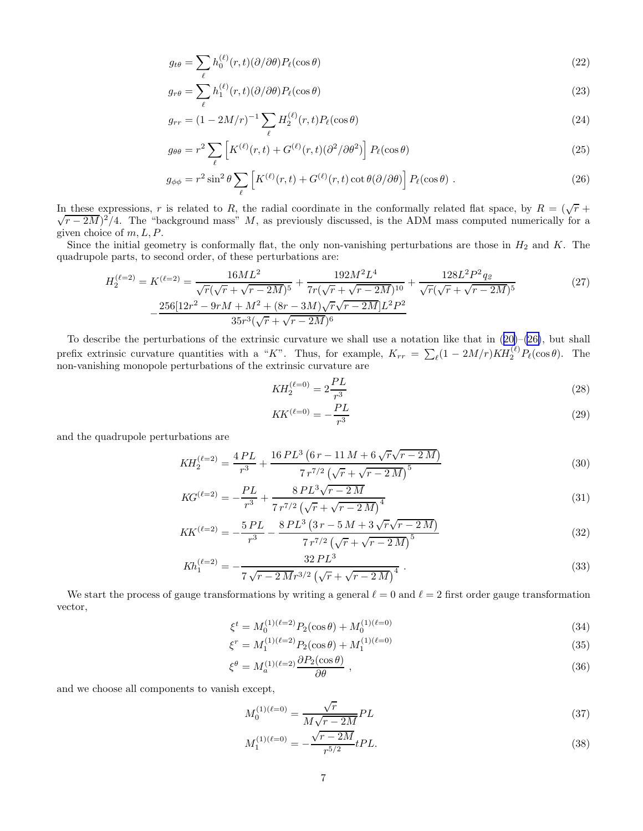<span id="page-7-0"></span>
$$
g_{t\theta} = \sum_{\ell} h_0^{(\ell)}(r, t) (\partial/\partial \theta) P_{\ell}(\cos \theta)
$$
\n(22)

$$
g_{r\theta} = \sum_{\ell} h_1^{(\ell)}(r,t) (\partial/\partial \theta) P_{\ell}(\cos \theta)
$$
\n(23)

$$
g_{rr} = (1 - 2M/r)^{-1} \sum_{\ell} H_2^{(\ell)}(r, t) P_{\ell}(\cos \theta)
$$
 (24)

$$
g_{\theta\theta} = r^2 \sum_{\ell} \left[ K^{(\ell)}(r,t) + G^{(\ell)}(r,t) (\partial^2/\partial\theta^2) \right] P_{\ell}(\cos\theta)
$$
 (25)

$$
g_{\phi\phi} = r^2 \sin^2 \theta \sum_{\ell} \left[ K^{(\ell)}(r,t) + G^{(\ell)}(r,t) \cot \theta (\partial/\partial \theta) \right] P_{\ell}(\cos \theta) . \tag{26}
$$

In these expressions, r is related to R, the radial coordinate in the conformally related flat space, by  $R = (\sqrt{r} +$  $\sqrt{r-2M}$ )<sup>2</sup>/4. The "background mass" M, as previously discussed, is the ADM mass computed numerically for a given choice of  $m, L, P$ .

Since the initial geometry is conformally flat, the only non-vanishing perturbations are those in  $H_2$  and K. The quadrupole parts, to second order, of these perturbations are:

$$
H_2^{(\ell=2)} = K^{(\ell=2)} = \frac{16ML^2}{\sqrt{r}(\sqrt{r} + \sqrt{r - 2M})^5} + \frac{192M^2L^4}{7r(\sqrt{r} + \sqrt{r - 2M})^{10}} + \frac{128L^2P^2q_{\ell}}{\sqrt{r}(\sqrt{r} + \sqrt{r - 2M})^5}
$$
(27)  

$$
-\frac{256[12r^2 - 9rM + M^2 + (8r - 3M)\sqrt{r}\sqrt{r - 2M}]L^2P^2}{35r^3(\sqrt{r} + \sqrt{r - 2M})^6}
$$

Todescribe the perturbations of the extrinsic curvature we shall use a notation like that in  $(20)$  $(20)$ – $(26)$ , but shall prefix extrinsic curvature quantities with a "K". Thus, for example,  $K_{rr} = \sum_{\ell} (1 - 2M/r) K H_2^{(\ell)} P_{\ell}(\cos \theta)$ . The non-vanishing monopole perturbations of the extrinsic curvature are

$$
KH_2^{(\ell=0)} = 2\frac{PL}{r^3}
$$
\n(28)

$$
KK^{(\ell=0)} = -\frac{PL}{r^3} \tag{29}
$$

and the quadrupole perturbations are

$$
KH_2^{(\ell=2)} = \frac{4\,PL}{r^3} + \frac{16\,PL^3\left(6\,r - 11\,M + 6\,\sqrt{r}\sqrt{r - 2\,M}\right)}{7\,r^{7/2}\left(\sqrt{r} + \sqrt{r - 2\,M}\right)^5} \tag{30}
$$

$$
KG^{(\ell=2)} = -\frac{PL}{r^3} + \frac{8\,PL^3\sqrt{r-2\,M}}{7\,r^{7/2}\left(\sqrt{r} + \sqrt{r-2\,M}\right)^4} \tag{31}
$$

$$
KK^{(\ell=2)} = -\frac{5\,PL}{r^3} - \frac{8\,PL^3\left(3\,r - 5\,M + 3\,\sqrt{r}\sqrt{r - 2\,M}\right)}{7\,r^{7/2}\left(\sqrt{r} + \sqrt{r - 2\,M}\right)^5} \tag{32}
$$

$$
Kh_1^{(\ell=2)} = -\frac{32\,PL^3}{7\,\sqrt{r-2\,M}r^{3/2}\left(\sqrt{r}+\sqrt{r-2\,M}\right)^4} \,. \tag{33}
$$

We start the process of gauge transformations by writing a general  $\ell = 0$  and  $\ell = 2$  first order gauge transformation vector,

$$
\xi^{t} = M_0^{(1)(\ell=2)} P_2(\cos \theta) + M_0^{(1)(\ell=0)} \tag{34}
$$

$$
\xi^r = M_1^{(1)(\ell=2)} P_2(\cos \theta) + M_1^{(1)(\ell=0)} \tag{35}
$$

$$
\xi^{\theta} = M_a^{(1)(\ell=2)} \frac{\partial P_2(\cos \theta)}{\partial \theta} , \qquad (36)
$$

and we choose all components to vanish except,

$$
M_0^{(1)(\ell=0)} = \frac{\sqrt{r}}{M\sqrt{r-2M}}PL\tag{37}
$$

$$
M_1^{(1)(\ell=0)} = -\frac{\sqrt{r-2M}}{r^{5/2}} tPL.
$$
\n(38)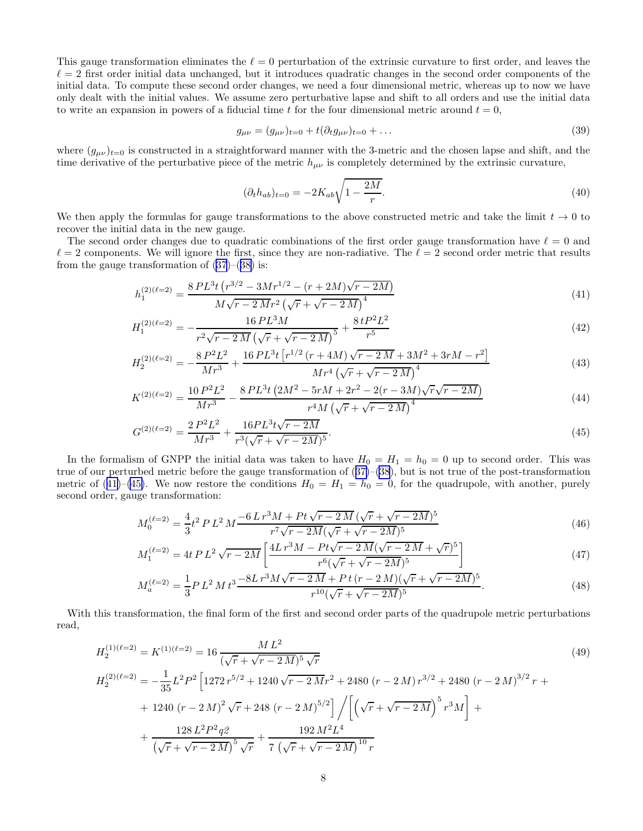<span id="page-8-0"></span>This gauge transformation eliminates the  $\ell = 0$  perturbation of the extrinsic curvature to first order, and leaves the  $\ell = 2$  first order initial data unchanged, but it introduces quadratic changes in the second order components of the initial data. To compute these second order changes, we need a four dimensional metric, whereas up to now we have only dealt with the initial values. We assume zero perturbative lapse and shift to all orders and use the initial data to write an expansion in powers of a fiducial time t for the four dimensional metric around  $t = 0$ ,

$$
g_{\mu\nu} = (g_{\mu\nu})_{t=0} + t(\partial_t g_{\mu\nu})_{t=0} + \dots \tag{39}
$$

where  $(g_{\mu\nu})_{t=0}$  is constructed in a straightforward manner with the 3-metric and the chosen lapse and shift, and the time derivative of the perturbative piece of the metric  $h_{\mu\nu}$  is completely determined by the extrinsic curvature,

$$
(\partial_t h_{ab})_{t=0} = -2K_{ab}\sqrt{1 - \frac{2M}{r}}.
$$
\n(40)

We then apply the formulas for gauge transformations to the above constructed metric and take the limit  $t \to 0$  to recover the initial data in the new gauge.

The second order changes due to quadratic combinations of the first order gauge transformation have  $\ell = 0$  and  $\ell = 2$  components. We will ignore the first, since they are non-radiative. The  $\ell = 2$  second order metric that results from the gauge transformation of  $(37)$ – $(38)$  $(38)$  is:

$$
h_1^{(2)(\ell=2)} = \frac{8\,PL^3t\left(r^{3/2} - 3Mr^{1/2} - (r+2M)\sqrt{r-2M}\right)}{M\sqrt{r-2Mr^2\left(\sqrt{r} + \sqrt{r-2M}\right)^4}}
$$
\n
$$
\tag{41}
$$

$$
H_1^{(2)(\ell=2)} = -\frac{16 \, PL^3 M}{r^2 \sqrt{r - 2M} \left(\sqrt{r} + \sqrt{r - 2M}\right)^5} + \frac{8 \, t P^2 L^2}{r^5} \tag{42}
$$

$$
H_2^{(2)(\ell=2)} = -\frac{8P^2L^2}{Mr^3} + \frac{16PL^3t\left[r^{1/2}\left(r+4M\right)\sqrt{r-2M} + 3M^2 + 3rM - r^2\right]}{Mr^4\left(\sqrt{r} + \sqrt{r-2M}\right)^4} \tag{43}
$$

$$
K^{(2)(\ell=2)} = \frac{10 P^2 L^2}{Mr^3} - \frac{8 P L^3 t \left(2M^2 - 5rM + 2r^2 - 2(r - 3M)\sqrt{r}\sqrt{r - 2M}\right)}{r^4 M \left(\sqrt{r} + \sqrt{r - 2M}\right)^4}
$$
(44)

$$
G^{(2)(\ell=2)} = \frac{2P^2L^2}{Mr^3} + \frac{16PL^3t\sqrt{r-2M}}{r^3(\sqrt{r}+\sqrt{r-2M})^5}.\tag{45}
$$

In the formalism of GNPP the initial data was taken to have  $H_0 = H_1 = h_0 = 0$  up to second order. This was trueof our perturbed metric before the gauge transformation of  $(37)$  $(37)$ – $(38)$  $(38)$ , but is not true of the post-transformation metric of (41)–(45). We now restore the conditions  $H_0 = H_1 = h_0 = 0$ , for the quadrupole, with another, purely second order, gauge transformation:

$$
M_0^{(\ell=2)} = \frac{4}{3}t^2 P L^2 M \frac{-6 L r^3 M + P t \sqrt{r - 2 M} (\sqrt{r} + \sqrt{r - 2 M})^5}{r^7 \sqrt{r - 2 M} (\sqrt{r} + \sqrt{r - 2 M})^5}
$$
(46)

$$
M_1^{(\ell=2)} = 4t P L^2 \sqrt{r - 2M} \left[ \frac{4L r^3 M - P t \sqrt{r - 2M} (\sqrt{r - 2M} + \sqrt{r})^5}{r^6 (\sqrt{r} + \sqrt{r - 2M})^5} \right]
$$
(47)

$$
M_a^{(\ell=2)} = \frac{1}{3} P L^2 M t^3 \frac{-8L r^3 M \sqrt{r - 2M} + P t (r - 2M)(\sqrt{r} + \sqrt{r - 2M})^5}{r^{10}(\sqrt{r} + \sqrt{r - 2M})^5}.
$$
\n
$$
(48)
$$

With this transformation, the final form of the first and second order parts of the quadrupole metric perturbations read,

$$
H_2^{(1)(\ell=2)} = K^{(1)(\ell=2)} = 16 \frac{M L^2}{(\sqrt{r} + \sqrt{r - 2M})^5 \sqrt{r}}
$$
  
\n
$$
H_2^{(2)(\ell=2)} = -\frac{1}{35} L^2 P^2 \left[ 1272 r^{5/2} + 1240 \sqrt{r - 2M} r^2 + 2480 (r - 2M) r^{3/2} + 2480 (r - 2M)^{3/2} r + 1240 (r - 2M)^2 \sqrt{r} + 248 (r - 2M)^{5/2} \right] / \left[ \left( \sqrt{r} + \sqrt{r - 2M} \right)^5 r^3 M \right] +
$$
\n
$$
+ \frac{128 L^2 P^2 q^2}{(\sqrt{r} + \sqrt{r - 2M})^5 \sqrt{r}} + \frac{192 M^2 L^4}{7 \left( \sqrt{r} + \sqrt{r - 2M} \right)^{10} r}
$$
\n(49)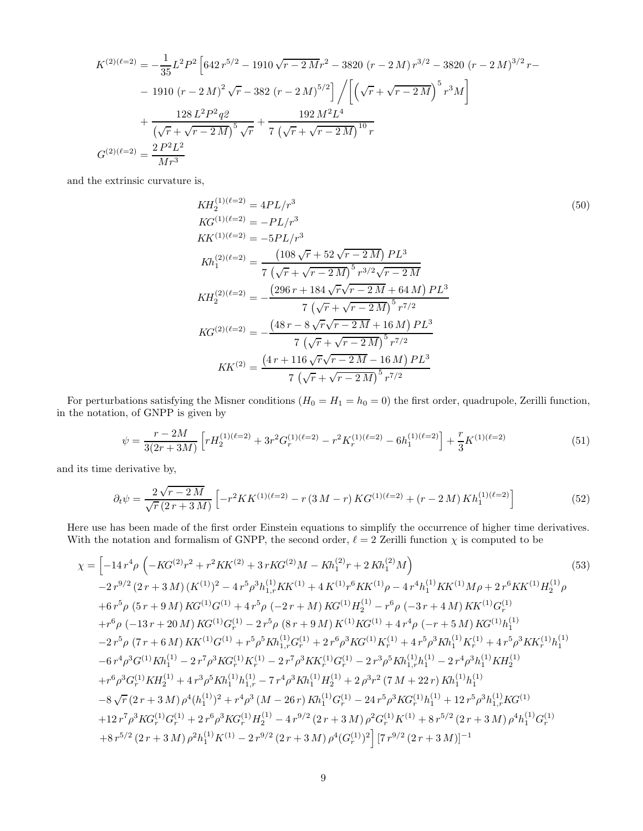<span id="page-9-0"></span>
$$
K^{(2)(\ell=2)} = -\frac{1}{35}L^2P^2 \left[ 642 r^{5/2} - 1910 \sqrt{r - 2Mr^2} - 3820 (r - 2M) r^{3/2} - 3820 (r - 2M)^{3/2} r - 1910 (r - 2M)^2 \sqrt{r} - 382 (r - 2M)^{5/2} \right] / \left[ \left( \sqrt{r} + \sqrt{r - 2M} \right)^5 r^3 M \right] + \frac{128 L^2 P^2 q^2}{\left( \sqrt{r} + \sqrt{r - 2M} \right)^5 \sqrt{r}} + \frac{192 M^2 L^4}{7 \left( \sqrt{r} + \sqrt{r - 2M} \right)^{10} r}
$$
  

$$
G^{(2)(\ell=2)} = \frac{2 P^2 L^2}{Mr^3}
$$

and the extrinsic curvature is,

$$
KH_2^{(1)(\ell=2)} = 4PL/r^3
$$
  
\n
$$
KG^{(1)(\ell=2)} = -PL/r^3
$$
  
\n
$$
KK^{(1)(\ell=2)} = -5PL/r^3
$$
  
\n
$$
Kh_1^{(2)(\ell=2)} = \frac{(108\sqrt{r} + 52\sqrt{r - 2M})PL^3}{7(\sqrt{r} + \sqrt{r - 2M})^5r^{3/2}\sqrt{r - 2M}}
$$
  
\n
$$
KH_2^{(2)(\ell=2)} = -\frac{(296r + 184\sqrt{r}\sqrt{r - 2M} + 64M)PL^3}{7(\sqrt{r} + \sqrt{r - 2M})^5r^{7/2}}
$$
  
\n
$$
KG^{(2)(\ell=2)} = -\frac{(48r - 8\sqrt{r}\sqrt{r - 2M} + 16M)PL^3}{7(\sqrt{r} + \sqrt{r - 2M})^5r^{7/2}}
$$
  
\n
$$
KK^{(2)} = \frac{(4r + 116\sqrt{r}\sqrt{r - 2M} - 16M)PL^3}{7(\sqrt{r} + \sqrt{r - 2M})^5r^{7/2}}
$$

For perturbations satisfying the Misner conditions  $(H_0 = H_1 = h_0 = 0)$  the first order, quadrupole, Zerilli function, in the notation, of GNPP is given by

$$
\psi = \frac{r - 2M}{3(2r + 3M)} \left[ r H_2^{(1)(\ell=2)} + 3r^2 G_r^{(1)(\ell=2)} - r^2 K_r^{(1)(\ell=2)} - 6h_1^{(1)(\ell=2)} \right] + \frac{r}{3} K^{(1)(\ell=2)} \tag{51}
$$

and its time derivative by,

$$
\partial_t \psi = \frac{2\sqrt{r-2M}}{\sqrt{r}(2r+3M)} \left[ -r^2 K K^{(1)(\ell=2)} - r (3M-r) K G^{(1)(\ell=2)} + (r-2M) K h_1^{(1)(\ell=2)} \right] \tag{52}
$$

Here use has been made of the first order Einstein equations to simplify the occurrence of higher time derivatives. With the notation and formalism of GNPP, the second order,  $\ell = 2$  Zerilli function  $\chi$  is computed to be

$$
\chi = \left[ -14r^4 \rho \left( -KG^{(2)}r^2 + r^2KK^{(2)} + 3rKG^{(2)}M - Kh_1^{(2)}r + 2Kh_1^{(2)}M \right) \right]
$$
\n
$$
-2r^{9/2} (2r + 3M) (K^{(1)})^2 - 4r^5 \rho^3 h_{1,r}^{(1)} KK^{(1)} + 4K^{(1)}r^6 KK^{(1)} \rho - 4r^4 h_1^{(1)}KK^{(1)}M\rho + 2r^6KK^{(1)}H_2^{(1)}\rho
$$
\n
$$
+6r^5 \rho (5r + 9M) KG^{(1)}G^{(1)} + 4r^5 \rho (-2r + M) KG^{(1)}H_2^{(1)} - r^6 \rho (-3r + 4M) KK^{(1)}G_r^{(1)}
$$
\n
$$
+r^6 \rho (-13r + 20M) KG^{(1)}G_r^{(1)} - 2r^5 \rho (8r + 9M) K^{(1)}KG^{(1)} + 4r^4 \rho (-r + 5M) KG^{(1)}h_1^{(1)}
$$
\n
$$
-2r^5 \rho (7r + 6M) KK^{(1)}G^{(1)} + r^5 \rho^5 Kh_{1,r}^{(1)}G_r^{(1)} + 2r^6 \rho^3 KG^{(1)}K_r^{(1)} + 4r^5 \rho^3 Kh_1^{(1)}K_r^{(1)} + 4r^5 \rho^3 KK_r^{(1)}h_1^{(1)}
$$
\n
$$
-6r^4 \rho^3 G^{(1)}Kh_1^{(1)} - 2r^7 \rho^3 KG_r^{(1)}K_r^{(1)} - 2r^7 \rho^3 KK_r^{(1)}G_r^{(1)} - 2r^3 \rho^5 Kh_{1,r}^{(1)}h_1^{(1)} - 2r^4 \rho^3 h_1^{(1)}KH_2^{(1)}
$$
\n
$$
+r^6 \rho^3 G_r^{(1)}KH_2^{(1)} + 4r^3 \rho^5 Kh_1^{(1)}h_{1,r}^{(1)} - 7r^4 \rho^3 Kh_1^{(1)}H_2^{(1)} + 2\rho^3 r^2 (7M + 22r) Kh_1^{(1)}h_1^{(1)}
$$
\n
$$
-8\sqrt{r} (2r + 3M) \rho^4 (h_1^{(1)})^
$$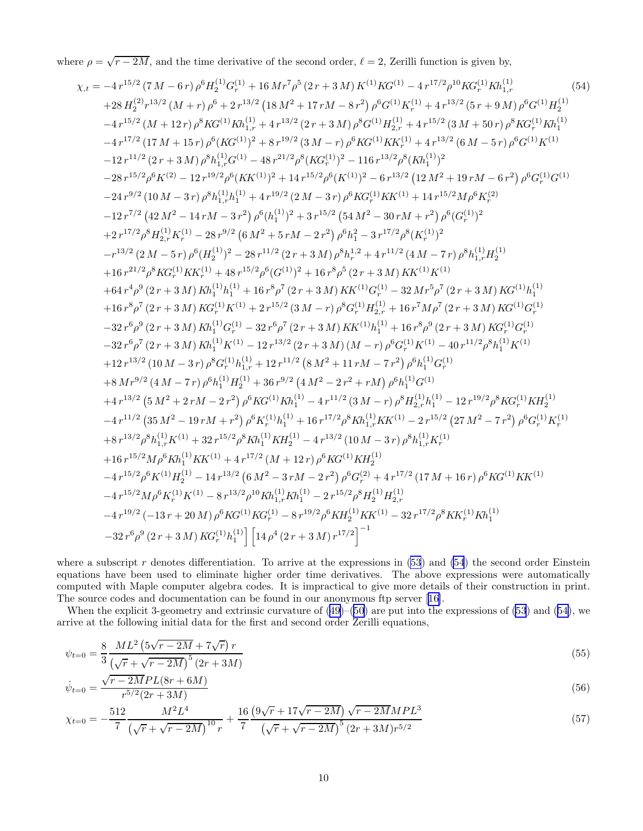<span id="page-10-0"></span>where  $\rho = \sqrt{r - 2M}$ , and the time derivative of the second order,  $\ell = 2$ , Zerilli function is given by,

$$
\chi_{.t} = -4r^{15/2} (7 M - 6 r) \rho^{6} H_{2}^{(1)} G_{+}^{(1)} + 16 M r^{7} \rho^{5} (2 r + 3 M) K^{(1)} K G_{+}^{(1)} + 4r^{17/2} \rho^{10} K G_{+}^{(1)} K h_{1}^{(1)} \n+ 28 H_{2}^{(2)} r^{3/2} (M + r) \rho^{6} + 2r^{13/2} (18 M^{2} + 17 r M - 8 r^{2}) \rho^{6} G^{(1)} K_{+}^{(1)} + 4r^{13/2} (5 r + 9 M) \rho^{6} G^{(1)} H_{2}^{(1)} \n- 4r^{15/2} (M + 12 r) \rho^{8} K G^{(1)} K h_{1,r}^{(1)} + 4r^{13/2} (2 r + 3 M) \rho^{8} G^{(1)} H_{2,r}^{(1)} + 4r^{13/2} (6 M - 5 r) \rho^{8} K G_{+}^{(1)} K h_{1}^{(1)} \n- 4r^{17/2} (17 M + 15 r) \rho^{6} (K G_{+}^{(1)})^{2} + 8r^{19/2} (3 M - r) \rho^{6} K G_{+}^{(1)} K h_{+}^{(1)} + 4r^{13/2} (6 M - 5 r) \rho^{6} G^{(1)} K h_{1}^{(1)} \n- 21r^{11/2} (2 r + 3 M) \rho^{8} h_{1,r}^{(1)} G^{(1)} - 48r^{21/2} \rho^{8} (K G_{+}^{(1)})^{2} - 116r^{3/2} \rho^{8} (K h_{1}^{(1)})^{2}
$$
\n
$$
- 28r^{15/2} \rho^{6} K^{(2)} - 12r^{19/2} \rho^{6} (K K^{(1)})^{2} + 14r^{15/2} \rho^{6} (K^{(1)})^{2} - 6r^{13/2} (12 M^{2} + 19 r M - 6 r^{2}) \rho^{6} G_{+}^{(1)} G^{(1)}
$$
\n
$$
- 24r^{9/2} (10 M - 3 r) \rho^{8} h_{1,r}^{(1)} h_{1}^{(1)} + 4r^{19/2} (2 M - 3 r) \
$$

where a subscript r denotes differentiation. To arrive at the expressions in  $(53)$  and  $(54)$  the second order Einstein equations have been used to eliminate higher order time derivatives. The above expressions were automatically computed with Maple computer algebra codes. It is impractical to give more details of their construction in print. The source codes and documentation can be found in our anonymous ftp server [\[16](#page-20-0)].

When the explicit 3-geometry and extrinsic curvature of [\(49](#page-8-0))–([50\)](#page-9-0) are put into the expressions of [\(53](#page-9-0)) and (54), we arrive at the following initial data for the first and second order Zerilli equations,

$$
\psi_{t=0} = \frac{8}{3} \frac{ML^2 \left(5\sqrt{r-2M} + 7\sqrt{r}\right) r}{\left(\sqrt{r} + \sqrt{r-2M}\right)^5 \left(2r + 3M\right)}\tag{55}
$$

$$
\dot{\psi}_{t=0} = \frac{\sqrt{r - 2M}PL(8r + 6M)}{r^{5/2}(2r + 3M)}\tag{56}
$$

$$
\chi_{t=0} = -\frac{512}{7} \frac{M^2 L^4}{\left(\sqrt{r} + \sqrt{r - 2M}\right)^{10} r} + \frac{16}{7} \frac{\left(9\sqrt{r} + 17\sqrt{r - 2M}\right)\sqrt{r - 2M} MPL^3}{\left(\sqrt{r} + \sqrt{r - 2M}\right)^5 \left(2r + 3M\right) r^{5/2}}
$$
\n
$$
\tag{57}
$$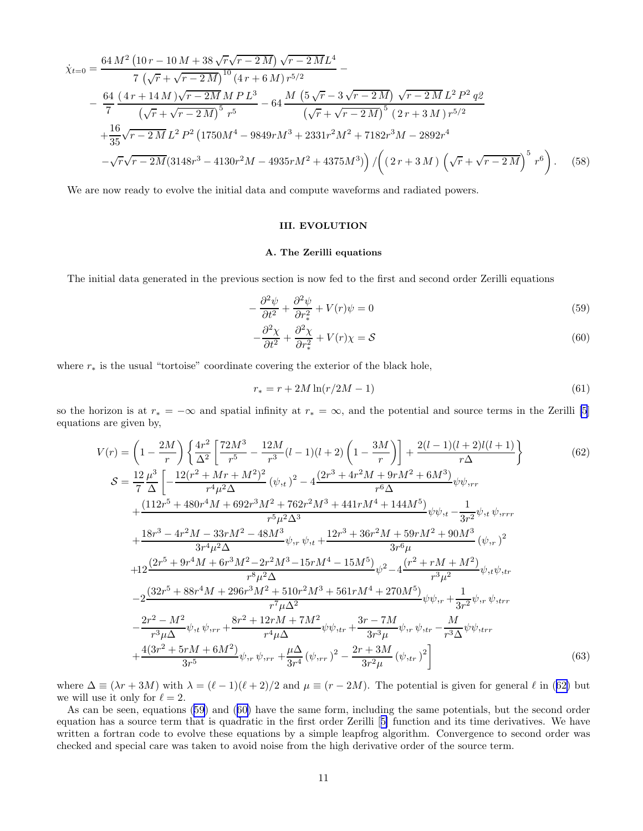$$
\dot{\chi}_{t=0} = \frac{64 M^2 (10 r - 10 M + 38 \sqrt{r} \sqrt{r - 2 M}) \sqrt{r - 2 M} L^4}{7 (\sqrt{r} + \sqrt{r - 2 M})^{10} (4 r + 6 M) r^{5/2}} -\frac{64 (4 r + 14 M) \sqrt{r - 2 M} M P L^3}{(\sqrt{r} + \sqrt{r - 2 M})^5 r^5} - 64 \frac{M (5 \sqrt{r} - 3 \sqrt{r - 2 M}) \sqrt{r - 2 M} L^2 P^2 q^2}{(\sqrt{r} + \sqrt{r - 2 M})^5 (2 r + 3 M) r^{5/2}} +\frac{16}{35} \sqrt{r - 2 M} L^2 P^2 (1750 M^4 - 9849 r M^3 + 2331 r^2 M^2 + 7182 r^3 M - 2892 r^4 -\sqrt{r} \sqrt{r - 2 M} (3148 r^3 - 4130 r^2 M - 4935 r M^2 + 4375 M^3)}) / ((2 r + 3 M) (\sqrt{r} + \sqrt{r - 2 M})^5 r^6).
$$
 (58)

We are now ready to evolve the initial data and compute waveforms and radiated powers.

## III. EVOLUTION

## A. The Zerilli equations

The initial data generated in the previous section is now fed to the first and second order Zerilli equations

$$
-\frac{\partial^2 \psi}{\partial t^2} + \frac{\partial^2 \psi}{\partial r_*^2} + V(r)\psi = 0\tag{59}
$$

$$
-\frac{\partial^2 \chi}{\partial t^2} + \frac{\partial^2 \chi}{\partial r_*^2} + V(r)\chi = \mathcal{S}
$$
\n(60)

where  $r_*$  is the usual "tortoise" coordinate covering the exterior of the black hole,

$$
r_* = r + 2M \ln(r/2M - 1)
$$
\n(61)

so the horizon is at  $r_* = -\infty$  and spatial infinity at  $r_* = \infty$ , and the potential and source terms in the Zerilli [\[5](#page-20-0)] equations are given by,

$$
V(r) = \left(1 - \frac{2M}{r}\right) \left\{ \frac{4r^2}{\Delta^2} \left[ \frac{72M^3}{r^5} - \frac{12M}{r^3} (l-1)(l+2) \left(1 - \frac{3M}{r}\right) \right] + \frac{2(l-1)(l+2)l(l+1)}{r\Delta} \right\}
$$
(62)  
\n
$$
S = \frac{12 \mu^3}{7 \Delta} \left[ -\frac{12(r^2 + Mr + M^2)^2}{r^4 \mu^2 \Delta} (\psi_{,t})^2 - 4 \frac{(2r^3 + 4r^2M + 9rM^2 + 6M^3)}{r^6 \Delta} \psi_{\psi,rr} + \frac{(112r^5 + 480r^4M + 692r^3M^2 + 762r^2M^3 + 441rM^4 + 144M^5)}{r^5 \mu^2 \Delta^3} \psi_{\psi, t} - \frac{1}{3r^2} \psi_{,t} \psi_{,rrr} + \frac{18r^3 - 4r^2M - 33rM^2 - 48M^3}{3r^4 \mu^2 \Delta} \psi_{,r} \psi_{,t} + \frac{12r^3 + 36r^2M + 59rM^2 + 90M^3}{3r^6 \mu} (\psi_{,r})^2 + 12 \frac{(2r^5 + 9r^4M + 6r^3M^2 - 2r^2M^3 - 15rM^4 - 15M^5)}{r^8 \mu^2 \Delta} \psi_{,2} - 4 \frac{(r^2 + rM + M^2)}{r^3 \mu^2} \psi_{,t} \psi_{,tr} - 2 \frac{(32r^5 + 88r^4M + 296r^3M^2 + 510r^2M^3 + 561rM^4 + 270M^5)}{r^7 \mu \Delta^2} \psi_{\psi,r} + \frac{1}{3r^2} \psi_{,r} \psi_{,rrr} + \frac{4(3r^2 + 5rM + 6M^2)}{3r^5} \psi_{,rr} + \frac{8r^2 + 12rM + 7M^2}{r^4 \mu \Delta} \psi_{\psi,rr} + \frac{3r - 7M}{3r^3 \mu} \psi_{,r} \psi_{,rr} - \frac{M}{r^3 \
$$

where  $\Delta \equiv (\lambda r + 3M)$  with  $\lambda = (\ell - 1)(\ell + 2)/2$  and  $\mu \equiv (r - 2M)$ . The potential is given for general  $\ell$  in (62) but we will use it only for  $\ell = 2$ .

As can be seen, equations (59) and (60) have the same form, including the same potentials, but the second order equation has a source term that is quadratic in the first order Zerilli [[5\]](#page-20-0) function and its time derivatives. We have written a fortran code to evolve these equations by a simple leapfrog algorithm. Convergence to second order was checked and special care was taken to avoid noise from the high derivative order of the source term.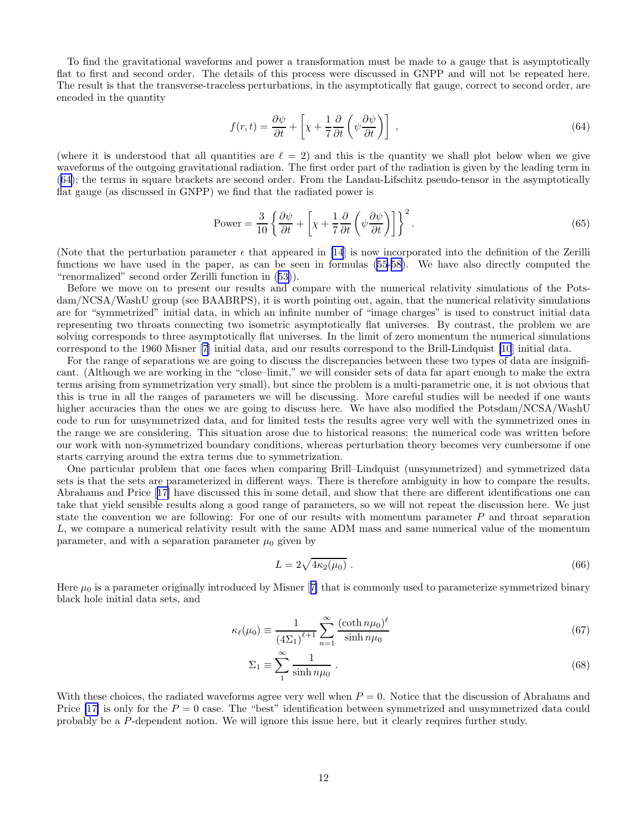<span id="page-12-0"></span>To find the gravitational waveforms and power a transformation must be made to a gauge that is asymptotically flat to first and second order. The details of this process were discussed in GNPP and will not be repeated here. The result is that the transverse-traceless perturbations, in the asymptotically flat gauge, correct to second order, are encoded in the quantity

$$
f(r,t) = \frac{\partial \psi}{\partial t} + \left[ \chi + \frac{1}{7} \frac{\partial}{\partial t} \left( \psi \frac{\partial \psi}{\partial t} \right) \right] \tag{64}
$$

(where it is understood that all quantities are  $\ell = 2$ ) and this is the quantity we shall plot below when we give waveforms of the outgoing gravitational radiation. The first order part of the radiation is given by the leading term in (64); the terms in square brackets are second order. From the Landau-Lifschitz pseudo-tensor in the asymptotically flat gauge (as discussed in GNPP) we find that the radiated power is

Power = 
$$
\frac{3}{10} \left\{ \frac{\partial \psi}{\partial t} + \left[ \chi + \frac{1}{7} \frac{\partial}{\partial t} \left( \psi \frac{\partial \psi}{\partial t} \right) \right] \right\}^2
$$
. (65)

(Note that the perturbation parameter  $\epsilon$  that appeared in [\[14](#page-20-0)] is now incorporated into the definition of the Zerilli functions we have used in the paper, as can be seen in formulas [\(55](#page-10-0)-[58\)](#page-10-0). We have also directly computed the "renormalized" second order Zerilli function in([53\)](#page-9-0)).

Before we move on to present our results and compare with the numerical relativity simulations of the Potsdam/NCSA/WashU group (see BAABRPS), it is worth pointing out, again, that the numerical relativity simulations are for "symmetrized" initial data, in which an infinite number of "image charges" is used to construct initial data representing two throats connecting two isometric asymptotically flat universes. By contrast, the problem we are solving corresponds to three asymptotically flat universes. In the limit of zero momentum the numerical simulations correspond to the 1960 Misner [\[7](#page-20-0)] initial data, and our results correspond to the Brill-Lindquist [\[10](#page-20-0)] initial data.

For the range of separations we are going to discuss the discrepancies between these two types of data are insignificant. (Although we are working in the "close–limit," we will consider sets of data far apart enough to make the extra terms arising from symmetrization very small), but since the problem is a multi-parametric one, it is not obvious that this is true in all the ranges of parameters we will be discussing. More careful studies will be needed if one wants higher accuracies than the ones we are going to discuss here. We have also modified the Potsdam/NCSA/WashU code to run for unsymmetrized data, and for limited tests the results agree very well with the symmetrized ones in the range we are considering. This situation arose due to historical reasons: the numerical code was written before our work with non-symmetrized boundary conditions, whereas perturbation theory becomes very cumbersome if one starts carrying around the extra terms due to symmetrization.

One particular problem that one faces when comparing Brill–Lindquist (unsymmetrized) and symmetrized data sets is that the sets are parameterized in different ways. There is therefore ambiguity in how to compare the results. Abrahams and Price[[17\]](#page-20-0) have discussed this in some detail, and show that there are different identifications one can take that yield sensible results along a good range of parameters, so we will not repeat the discussion here. We just state the convention we are following: For one of our results with momentum parameter P and throat separation L, we compare a numerical relativity result with the same ADM mass and same numerical value of the momentum parameter, and with a separation parameter  $\mu_0$  given by

$$
L = 2\sqrt{4\kappa_2(\mu_0)}\,. \tag{66}
$$

Here $\mu_0$  is a parameter originally introduced by Misner [[7\]](#page-20-0) that is commonly used to parameterize symmetrized binary black hole initial data sets, and

$$
\kappa_{\ell}(\mu_0) \equiv \frac{1}{\left(4\Sigma_1\right)^{\ell+1}} \sum_{n=1}^{\infty} \frac{(\coth n\mu_0)^{\ell}}{\sinh n\mu_0} \tag{67}
$$

$$
\Sigma_1 \equiv \sum_{1}^{\infty} \frac{1}{\sinh n\mu_0} \,. \tag{68}
$$

With these choices, the radiated waveforms agree very well when  $P = 0$ . Notice that the discussion of Abrahams and Price [\[17\]](#page-20-0) is only for the  $P = 0$  case. The "best" identification between symmetrized and unsymmetrized data could probably be a P-dependent notion. We will ignore this issue here, but it clearly requires further study.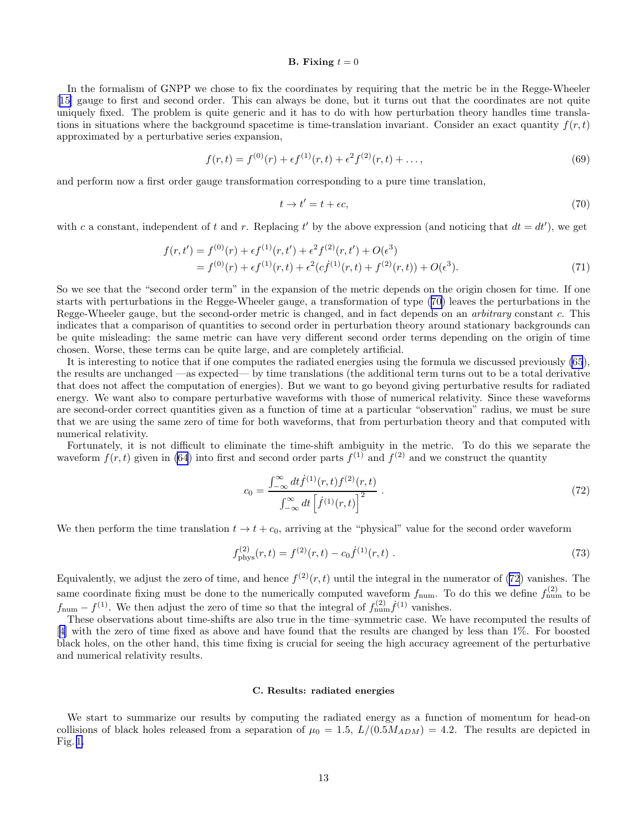## B. Fixing  $t = 0$

In the formalism of GNPP we chose to fix the coordinates by requiring that the metric be in the Regge-Wheeler [[15\]](#page-20-0) gauge to first and second order. This can always be done, but it turns out that the coordinates are not quite uniquely fixed. The problem is quite generic and it has to do with how perturbation theory handles time translations in situations where the background spacetime is time-translation invariant. Consider an exact quantity  $f(r, t)$ approximated by a perturbative series expansion,

$$
f(r,t) = f^{(0)}(r) + \epsilon f^{(1)}(r,t) + \epsilon^2 f^{(2)}(r,t) + \dots,
$$
\n(69)

and perform now a first order gauge transformation corresponding to a pure time translation,

$$
t \to t' = t + \epsilon c,\tag{70}
$$

with c a constant, independent of t and r. Replacing t' by the above expression (and noticing that  $dt = dt'$ ), we get

$$
f(r,t') = f^{(0)}(r) + \epsilon f^{(1)}(r,t') + \epsilon^2 f^{(2)}(r,t') + O(\epsilon^3)
$$
  
= 
$$
f^{(0)}(r) + \epsilon f^{(1)}(r,t) + \epsilon^2 (cf^{(1)}(r,t) + f^{(2)}(r,t)) + O(\epsilon^3).
$$
 (71)

So we see that the "second order term" in the expansion of the metric depends on the origin chosen for time. If one starts with perturbations in the Regge-Wheeler gauge, a transformation of type (70) leaves the perturbations in the Regge-Wheeler gauge, but the second-order metric is changed, and in fact depends on an *arbitrary* constant c. This indicates that a comparison of quantities to second order in perturbation theory around stationary backgrounds can be quite misleading: the same metric can have very different second order terms depending on the origin of time chosen. Worse, these terms can be quite large, and are completely artificial.

It is interesting to notice that if one computes the radiated energies using the formula we discussed previously [\(65](#page-12-0)), the results are unchanged —as expected— by time translations (the additional term turns out to be a total derivative that does not affect the computation of energies). But we want to go beyond giving perturbative results for radiated energy. We want also to compare perturbative waveforms with those of numerical relativity. Since these waveforms are second-order correct quantities given as a function of time at a particular "observation" radius, we must be sure that we are using the same zero of time for both waveforms, that from perturbation theory and that computed with numerical relativity.

Fortunately, it is not difficult to eliminate the time-shift ambiguity in the metric. To do this we separate the waveform  $f(r, t)$  given in [\(64](#page-12-0)) into first and second order parts  $f^{(1)}$  and  $f^{(2)}$  and we construct the quantity

$$
c_0 = \frac{\int_{-\infty}^{\infty} dt \dot{f}^{(1)}(r,t) f^{(2)}(r,t)}{\int_{-\infty}^{\infty} dt \left[ \dot{f}^{(1)}(r,t) \right]^2} \,. \tag{72}
$$

We then perform the time translation  $t \to t + c_0$ , arriving at the "physical" value for the second order waveform

$$
f_{\rm phys}^{(2)}(r,t) = f^{(2)}(r,t) - c_0 \dot{f}^{(1)}(r,t) \tag{73}
$$

Equivalently, we adjust the zero of time, and hence  $f^{(2)}(r,t)$  until the integral in the numerator of (72) vanishes. The same coordinate fixing must be done to the numerically computed waveform  $f_{\text{num}}$ . To do this we define  $f_{\text{num}}^{(2)}$  to be  $f_{\text{num}} - f^{(1)}$ . We then adjust the zero of time so that the integral of  $f_{\text{num}}^{(2)} f^{(1)}$  vanishes.

These observations about time-shifts are also true in the time–symmetric case. We have recomputed the results of [[4\]](#page-20-0) with the zero of time fixed as above and have found that the results are changed by less than 1%. For boosted black holes, on the other hand, this time fixing is crucial for seeing the high accuracy agreement of the perturbative and numerical relativity results.

#### C. Results: radiated energies

We start to summarize our results by computing the radiated energy as a function of momentum for head-on collisions of black holes released from a separation of  $\mu_0 = 1.5$ ,  $L/(0.5M_{ADM}) = 4.2$ . The results are depicted in Fig. [1.](#page-14-0)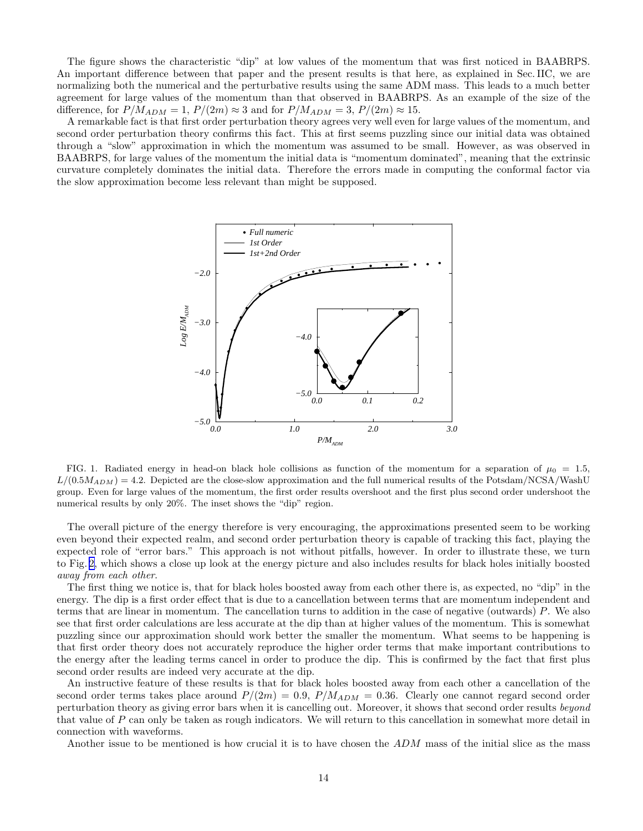<span id="page-14-0"></span>The figure shows the characteristic "dip" at low values of the momentum that was first noticed in BAABRPS. An important difference between that paper and the present results is that here, as explained in Sec. IIC, we are normalizing both the numerical and the perturbative results using the same ADM mass. This leads to a much better agreement for large values of the momentum than that observed in BAABRPS. As an example of the size of the difference, for  $P/M_{ADM} = 1$ ,  $P/(2m) \approx 3$  and for  $P/M_{ADM} = 3$ ,  $P/(2m) \approx 15$ .

A remarkable fact is that first order perturbation theory agrees very well even for large values of the momentum, and second order perturbation theory confirms this fact. This at first seems puzzling since our initial data was obtained through a "slow" approximation in which the momentum was assumed to be small. However, as was observed in BAABRPS, for large values of the momentum the initial data is "momentum dominated", meaning that the extrinsic curvature completely dominates the initial data. Therefore the errors made in computing the conformal factor via the slow approximation become less relevant than might be supposed.



FIG. 1. Radiated energy in head-on black hole collisions as function of the momentum for a separation of  $\mu_0 = 1.5$ ,  $L/(0.5M_{ADM}) = 4.2$ . Depicted are the close-slow approximation and the full numerical results of the Potsdam/NCSA/WashU group. Even for large values of the momentum, the first order results overshoot and the first plus second order undershoot the numerical results by only 20%. The inset shows the "dip" region.

The overall picture of the energy therefore is very encouraging, the approximations presented seem to be working even beyond their expected realm, and second order perturbation theory is capable of tracking this fact, playing the expected role of "error bars." This approach is not without pitfalls, however. In order to illustrate these, we turn to Fig. [2,](#page-15-0) which shows a close up look at the energy picture and also includes results for black holes initially boosted away from each other.

The first thing we notice is, that for black holes boosted away from each other there is, as expected, no "dip" in the energy. The dip is a first order effect that is due to a cancellation between terms that are momentum independent and terms that are linear in momentum. The cancellation turns to addition in the case of negative (outwards) P. We also see that first order calculations are less accurate at the dip than at higher values of the momentum. This is somewhat puzzling since our approximation should work better the smaller the momentum. What seems to be happening is that first order theory does not accurately reproduce the higher order terms that make important contributions to the energy after the leading terms cancel in order to produce the dip. This is confirmed by the fact that first plus second order results are indeed very accurate at the dip.

An instructive feature of these results is that for black holes boosted away from each other a cancellation of the second order terms takes place around  $P/(2m) = 0.9$ ,  $P/M_{ADM} = 0.36$ . Clearly one cannot regard second order perturbation theory as giving error bars when it is cancelling out. Moreover, it shows that second order results beyond that value of P can only be taken as rough indicators. We will return to this cancellation in somewhat more detail in connection with waveforms.

Another issue to be mentioned is how crucial it is to have chosen the ADM mass of the initial slice as the mass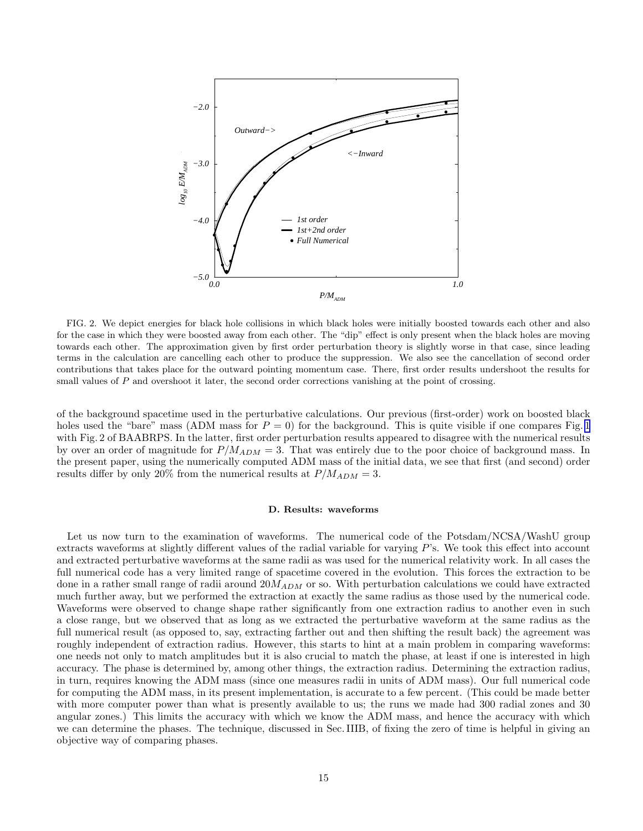<span id="page-15-0"></span>

FIG. 2. We depict energies for black hole collisions in which black holes were initially boosted towards each other and also for the case in which they were boosted away from each other. The "dip" effect is only present when the black holes are moving towards each other. The approximation given by first order perturbation theory is slightly worse in that case, since leading terms in the calculation are cancelling each other to produce the suppression. We also see the cancellation of second order contributions that takes place for the outward pointing momentum case. There, first order results undershoot the results for small values of  $P$  and overshoot it later, the second order corrections vanishing at the point of crossing.

of the background spacetime used in the perturbative calculations. Our previous (first-order) work on boosted black holes used the "bare" mass (ADM mass for  $P = 0$ ) for the background. This is quite visible if one compares Fig. [1](#page-14-0) with Fig. 2 of BAABRPS. In the latter, first order perturbation results appeared to disagree with the numerical results by over an order of magnitude for  $P/M_{ADM} = 3$ . That was entirely due to the poor choice of background mass. In the present paper, using the numerically computed ADM mass of the initial data, we see that first (and second) order results differ by only 20% from the numerical results at  $P/M_{ADM} = 3$ .

#### D. Results: waveforms

Let us now turn to the examination of waveforms. The numerical code of the Potsdam/NCSA/WashU group extracts waveforms at slightly different values of the radial variable for varying P's. We took this effect into account and extracted perturbative waveforms at the same radii as was used for the numerical relativity work. In all cases the full numerical code has a very limited range of spacetime covered in the evolution. This forces the extraction to be done in a rather small range of radii around  $20M_{ADM}$  or so. With perturbation calculations we could have extracted much further away, but we performed the extraction at exactly the same radius as those used by the numerical code. Waveforms were observed to change shape rather significantly from one extraction radius to another even in such a close range, but we observed that as long as we extracted the perturbative waveform at the same radius as the full numerical result (as opposed to, say, extracting farther out and then shifting the result back) the agreement was roughly independent of extraction radius. However, this starts to hint at a main problem in comparing waveforms: one needs not only to match amplitudes but it is also crucial to match the phase, at least if one is interested in high accuracy. The phase is determined by, among other things, the extraction radius. Determining the extraction radius, in turn, requires knowing the ADM mass (since one measures radii in units of ADM mass). Our full numerical code for computing the ADM mass, in its present implementation, is accurate to a few percent. (This could be made better with more computer power than what is presently available to us; the runs we made had 300 radial zones and 30 angular zones.) This limits the accuracy with which we know the ADM mass, and hence the accuracy with which we can determine the phases. The technique, discussed in Sec. IIIB, of fixing the zero of time is helpful in giving an objective way of comparing phases.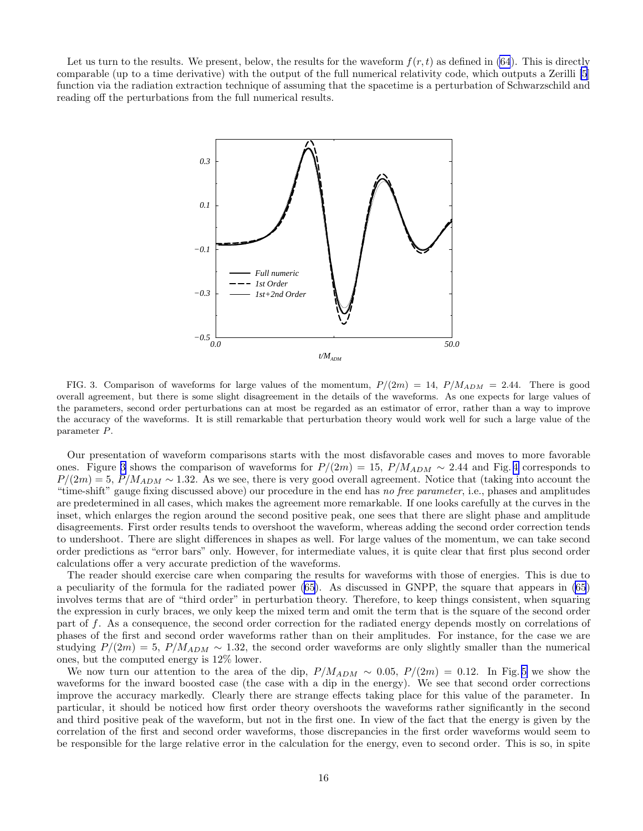Let us turn to the results. We present, below, the results for the waveform  $f(r, t)$  as defined in [\(64](#page-12-0)). This is directly comparable (up to a time derivative) with the output of the full numerical relativity code, which outputs a Zerilli [\[5](#page-20-0)] function via the radiation extraction technique of assuming that the spacetime is a perturbation of Schwarzschild and reading off the perturbations from the full numerical results.



FIG. 3. Comparison of waveforms for large values of the momentum,  $P/(2m) = 14$ ,  $P/M_{ADM} = 2.44$ . There is good overall agreement, but there is some slight disagreement in the details of the waveforms. As one expects for large values of the parameters, second order perturbations can at most be regarded as an estimator of error, rather than a way to improve the accuracy of the waveforms. It is still remarkable that perturbation theory would work well for such a large value of the parameter P.

Our presentation of waveform comparisons starts with the most disfavorable cases and moves to more favorable ones. Figure 3 shows the comparison of waveforms for  $P/(2m) = 15$ ,  $P/M_{ADM} \sim 2.44$  and Fig. [4](#page-17-0) corresponds to  $P/(2m) = 5, P/M_{ADM} \sim 1.32$ . As we see, there is very good overall agreement. Notice that (taking into account the "time-shift" gauge fixing discussed above) our procedure in the end has no free parameter, i.e., phases and amplitudes are predetermined in all cases, which makes the agreement more remarkable. If one looks carefully at the curves in the inset, which enlarges the region around the second positive peak, one sees that there are slight phase and amplitude disagreements. First order results tends to overshoot the waveform, whereas adding the second order correction tends to undershoot. There are slight differences in shapes as well. For large values of the momentum, we can take second order predictions as "error bars" only. However, for intermediate values, it is quite clear that first plus second order calculations offer a very accurate prediction of the waveforms.

The reader should exercise care when comparing the results for waveforms with those of energies. This is due to a peculiarity of the formula for the radiated power([65\)](#page-12-0). As discussed in GNPP, the square that appears in [\(65](#page-12-0)) involves terms that are of "third order" in perturbation theory. Therefore, to keep things consistent, when squaring the expression in curly braces, we only keep the mixed term and omit the term that is the square of the second order part of f. As a consequence, the second order correction for the radiated energy depends mostly on correlations of phases of the first and second order waveforms rather than on their amplitudes. For instance, for the case we are studying  $P/(2m) = 5$ ,  $P/M_{ADM} \sim 1.32$ , the second order waveforms are only slightly smaller than the numerical ones, but the computed energy is 12% lower.

We now turn our attention to the area of the dip,  $P/M_{ADM} \sim 0.05$ ,  $P/(2m) = 0.12$ . In Fig. [5](#page-18-0) we show the waveforms for the inward boosted case (the case with a dip in the energy). We see that second order corrections improve the accuracy markedly. Clearly there are strange effects taking place for this value of the parameter. In particular, it should be noticed how first order theory overshoots the waveforms rather significantly in the second and third positive peak of the waveform, but not in the first one. In view of the fact that the energy is given by the correlation of the first and second order waveforms, those discrepancies in the first order waveforms would seem to be responsible for the large relative error in the calculation for the energy, even to second order. This is so, in spite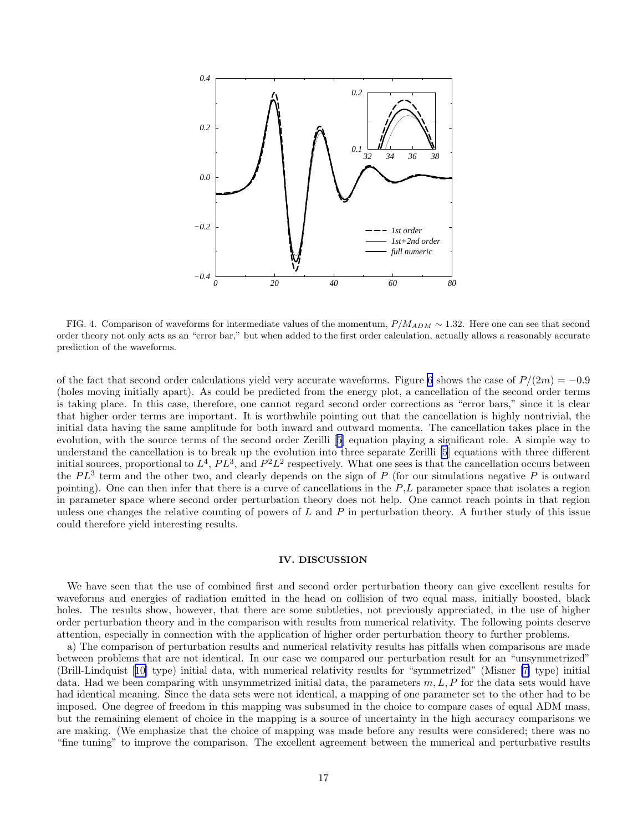<span id="page-17-0"></span>

FIG. 4. Comparison of waveforms for intermediate values of the momentum,  $P/M_{ADM} \sim 1.32$ . Here one can see that second order theory not only acts as an "error bar," but when added to the first order calculation, actually allows a reasonably accurate prediction of the waveforms.

of the fact that second order calculations yield very accurate waveforms. Figure [6](#page-18-0) shows the case of  $P/(2m) = -0.9$ (holes moving initially apart). As could be predicted from the energy plot, a cancellation of the second order terms is taking place. In this case, therefore, one cannot regard second order corrections as "error bars," since it is clear that higher order terms are important. It is worthwhile pointing out that the cancellation is highly nontrivial, the initial data having the same amplitude for both inward and outward momenta. The cancellation takes place in the evolution, with the source terms of the second order Zerilli[[5\]](#page-20-0) equation playing a significant role. A simple way to understand the cancellation is to break up the evolution into three separate Zerilli [\[5](#page-20-0)] equations with three different initial sources, proportional to  $L^4$ ,  $PL^3$ , and  $P^2L^2$  respectively. What one sees is that the cancellation occurs between the  $PL^3$  term and the other two, and clearly depends on the sign of P (for our simulations negative P is outward pointing). One can then infer that there is a curve of cancellations in the  $P,L$  parameter space that isolates a region in parameter space where second order perturbation theory does not help. One cannot reach points in that region unless one changes the relative counting of powers of L and P in perturbation theory. A further study of this issue could therefore yield interesting results.

#### IV. DISCUSSION

We have seen that the use of combined first and second order perturbation theory can give excellent results for waveforms and energies of radiation emitted in the head on collision of two equal mass, initially boosted, black holes. The results show, however, that there are some subtleties, not previously appreciated, in the use of higher order perturbation theory and in the comparison with results from numerical relativity. The following points deserve attention, especially in connection with the application of higher order perturbation theory to further problems.

a) The comparison of perturbation results and numerical relativity results has pitfalls when comparisons are made between problems that are not identical. In our case we compared our perturbation result for an "unsymmetrized" (Brill-Lindquist[[10\]](#page-20-0) type) initial data, with numerical relativity results for "symmetrized" (Misner [\[7](#page-20-0)] type) initial data. Had we been comparing with unsymmetrized initial data, the parameters  $m, L, P$  for the data sets would have had identical meaning. Since the data sets were not identical, a mapping of one parameter set to the other had to be imposed. One degree of freedom in this mapping was subsumed in the choice to compare cases of equal ADM mass, but the remaining element of choice in the mapping is a source of uncertainty in the high accuracy comparisons we are making. (We emphasize that the choice of mapping was made before any results were considered; there was no "fine tuning" to improve the comparison. The excellent agreement between the numerical and perturbative results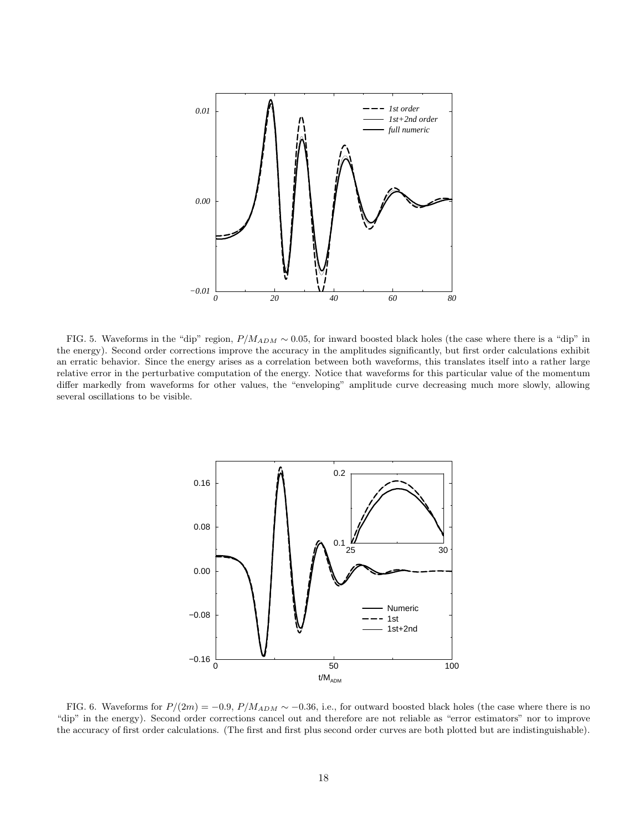<span id="page-18-0"></span>

FIG. 5. Waveforms in the "dip" region,  $P/M_{ADM} \sim 0.05$ , for inward boosted black holes (the case where there is a "dip" in the energy). Second order corrections improve the accuracy in the amplitudes significantly, but first order calculations exhibit an erratic behavior. Since the energy arises as a correlation between both waveforms, this translates itself into a rather large relative error in the perturbative computation of the energy. Notice that waveforms for this particular value of the momentum differ markedly from waveforms for other values, the "enveloping" amplitude curve decreasing much more slowly, allowing several oscillations to be visible.



FIG. 6. Waveforms for  $P/(2m) = -0.9$ ,  $P/M_{ADM} \sim -0.36$ , i.e., for outward boosted black holes (the case where there is no "dip" in the energy). Second order corrections cancel out and therefore are not reliable as "error estimators" nor to improve the accuracy of first order calculations. (The first and first plus second order curves are both plotted but are indistinguishable).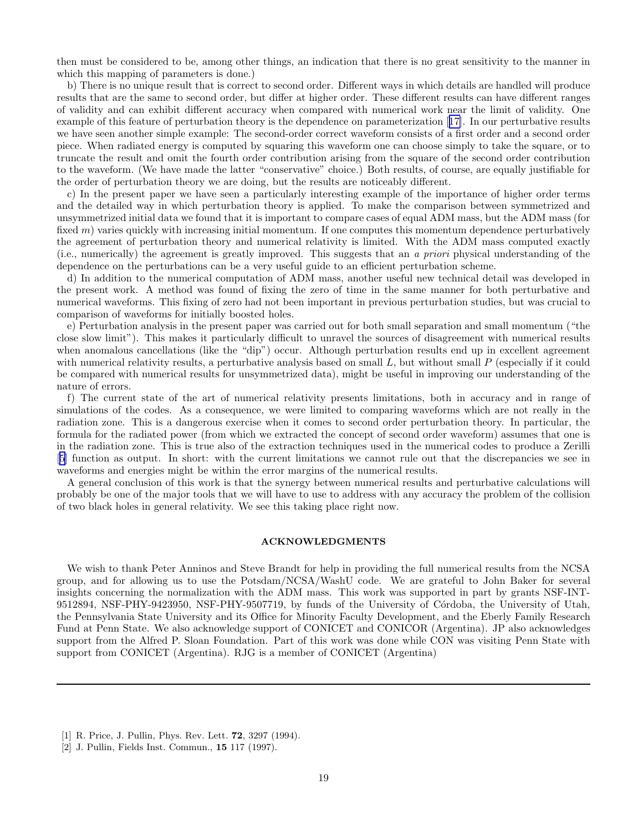<span id="page-19-0"></span>then must be considered to be, among other things, an indication that there is no great sensitivity to the manner in which this mapping of parameters is done.)

b) There is no unique result that is correct to second order. Different ways in which details are handled will produce results that are the same to second order, but differ at higher order. These different results can have different ranges of validity and can exhibit different accuracy when compared with numerical work near the limit of validity. One example of this feature of perturbation theory is the dependence on parameterization[[17\]](#page-20-0). In our perturbative results we have seen another simple example: The second-order correct waveform consists of a first order and a second order piece. When radiated energy is computed by squaring this waveform one can choose simply to take the square, or to truncate the result and omit the fourth order contribution arising from the square of the second order contribution to the waveform. (We have made the latter "conservative" choice.) Both results, of course, are equally justifiable for the order of perturbation theory we are doing, but the results are noticeably different.

c) In the present paper we have seen a particularly interesting example of the importance of higher order terms and the detailed way in which perturbation theory is applied. To make the comparison between symmetrized and unsymmetrized initial data we found that it is important to compare cases of equal ADM mass, but the ADM mass (for fixed m) varies quickly with increasing initial momentum. If one computes this momentum dependence perturbatively the agreement of perturbation theory and numerical relativity is limited. With the ADM mass computed exactly (i.e., numerically) the agreement is greatly improved. This suggests that an a priori physical understanding of the dependence on the perturbations can be a very useful guide to an efficient perturbation scheme.

d) In addition to the numerical computation of ADM mass, another useful new technical detail was developed in the present work. A method was found of fixing the zero of time in the same manner for both perturbative and numerical waveforms. This fixing of zero had not been important in previous perturbation studies, but was crucial to comparison of waveforms for initially boosted holes.

e) Perturbation analysis in the present paper was carried out for both small separation and small momentum ("the close slow limit"). This makes it particularly difficult to unravel the sources of disagreement with numerical results when anomalous cancellations (like the "dip") occur. Although perturbation results end up in excellent agreement with numerical relativity results, a perturbative analysis based on small  $L$ , but without small  $P$  (especially if it could be compared with numerical results for unsymmetrized data), might be useful in improving our understanding of the nature of errors.

f) The current state of the art of numerical relativity presents limitations, both in accuracy and in range of simulations of the codes. As a consequence, we were limited to comparing waveforms which are not really in the radiation zone. This is a dangerous exercise when it comes to second order perturbation theory. In particular, the formula for the radiated power (from which we extracted the concept of second order waveform) assumes that one is in the radiation zone. This is true also of the extraction techniques used in the numerical codes to produce a Zerilli [[5\]](#page-20-0) function as output. In short: with the current limitations we cannot rule out that the discrepancies we see in waveforms and energies might be within the error margins of the numerical results.

A general conclusion of this work is that the synergy between numerical results and perturbative calculations will probably be one of the major tools that we will have to use to address with any accuracy the problem of the collision of two black holes in general relativity. We see this taking place right now.

## ACKNOWLEDGMENTS

We wish to thank Peter Anninos and Steve Brandt for help in providing the full numerical results from the NCSA group, and for allowing us to use the Potsdam/NCSA/WashU code. We are grateful to John Baker for several insights concerning the normalization with the ADM mass. This work was supported in part by grants NSF-INT-9512894, NSF-PHY-9423950, NSF-PHY-9507719, by funds of the University of Córdoba, the University of Utah, the Pennsylvania State University and its Office for Minority Faculty Development, and the Eberly Family Research Fund at Penn State. We also acknowledge support of CONICET and CONICOR (Argentina). JP also acknowledges support from the Alfred P. Sloan Foundation. Part of this work was done while CON was visiting Penn State with support from CONICET (Argentina). RJG is a member of CONICET (Argentina)

<sup>[1]</sup> R. Price, J. Pullin, Phys. Rev. Lett. 72, 3297 (1994).

<sup>[2]</sup> J. Pullin, Fields Inst. Commun., 15 117 (1997).